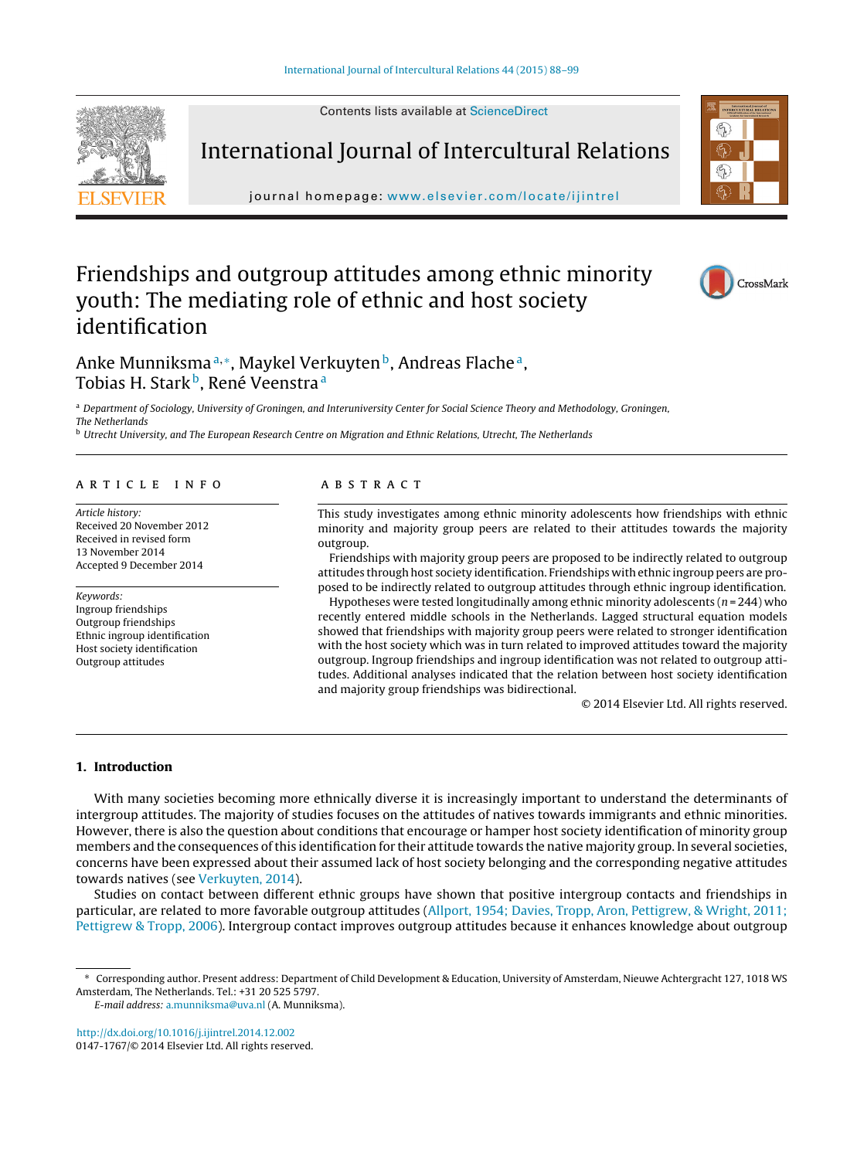Contents lists available at [ScienceDirect](http://www.sciencedirect.com/science/journal/01471767)



International Journal of Intercultural Relations

journal homepage: [www.elsevier.com/locate/ijintrel](http://www.elsevier.com/locate/ijintrel)



# Friendships and outgroup attitudes among ethnic minority youth: The mediating role of ethnic and host society identification



Anke Munniksma<sup>a,∗</sup>, Maykel Verkuyten<sup>b</sup>, Andreas Flache<sup>a</sup>, Tobias H. Stark<sup>b</sup>, René Veenstra<sup>a</sup>

a Department of Sociology, University of Groningen, and Interuniversity Center for Social Science Theory and Methodology, Groningen, The Netherlands

<sup>b</sup> Utrecht University, and The European Research Centre on Migration and Ethnic Relations, Utrecht, The Netherlands

## a r t i c l e i n f o

Article history: Received 20 November 2012 Received in revised form 13 November 2014 Accepted 9 December 2014

#### Keywords:

Ingroup friendships Outgroup friendships Ethnic ingroup identification Host society identification Outgroup attitudes

# A B S T R A C T

This study investigates among ethnic minority adolescents how friendships with ethnic minority and majority group peers are related to their attitudes towards the majority outgroup.

Friendships with majority group peers are proposed to be indirectly related to outgroup attitudes through host society identification. Friendships with ethnic ingroup peers are proposed to be indirectly related to outgroup attitudes through ethnic ingroup identification.

Hypotheses were tested longitudinally among ethnic minority adolescents ( $n = 244$ ) who recently entered middle schools in the Netherlands. Lagged structural equation models showed that friendships with majority group peers were related to stronger identification with the host society which was in turn related to improved attitudes toward the majority outgroup. Ingroup friendships and ingroup identification was not related to outgroup attitudes. Additional analyses indicated that the relation between host society identification and majority group friendships was bidirectional.

© 2014 Elsevier Ltd. All rights reserved.

## **1. Introduction**

With many societies becoming more ethnically diverse it is increasingly important to understand the determinants of intergroup attitudes. The majority of studies focuses on the attitudes of natives towards immigrants and ethnic minorities. However, there is also the question about conditions that encourage or hamper host society identification of minority group members and the consequences ofthis identification for their attitude towards the native majority group. In several societies, concerns have been expressed about their assumed lack of host society belonging and the corresponding negative attitudes towards natives (see [Verkuyten,](#page-11-0) [2014\).](#page-11-0)

Studies on contact between different ethnic groups have shown that positive intergroup contacts and friendships in particular, are related to more favorable outgroup attitudes [\(Allport,](#page-10-0) [1954;](#page-10-0) [Davies,](#page-10-0) [Tropp,](#page-10-0) [Aron,](#page-10-0) [Pettigrew,](#page-10-0) [&](#page-10-0) [Wright,](#page-10-0) [2011;](#page-10-0) [Pettigrew](#page-10-0) [&](#page-10-0) [Tropp,](#page-10-0) [2006\).](#page-10-0) Intergroup contact improves outgroup attitudes because it enhances knowledge about outgroup

[http://dx.doi.org/10.1016/j.ijintrel.2014.12.002](dx.doi.org/10.1016/j.ijintrel.2014.12.002) 0147-1767/© 2014 Elsevier Ltd. All rights reserved.

<sup>∗</sup> Corresponding author. Present address: Department of Child Development & Education, University of Amsterdam, Nieuwe Achtergracht 127, 1018 WS Amsterdam, The Netherlands. Tel.: +31 20 525 5797.

E-mail address: [a.munniksma@uva.nl](mailto:a.munniksma@uva.nl) (A. Munniksma).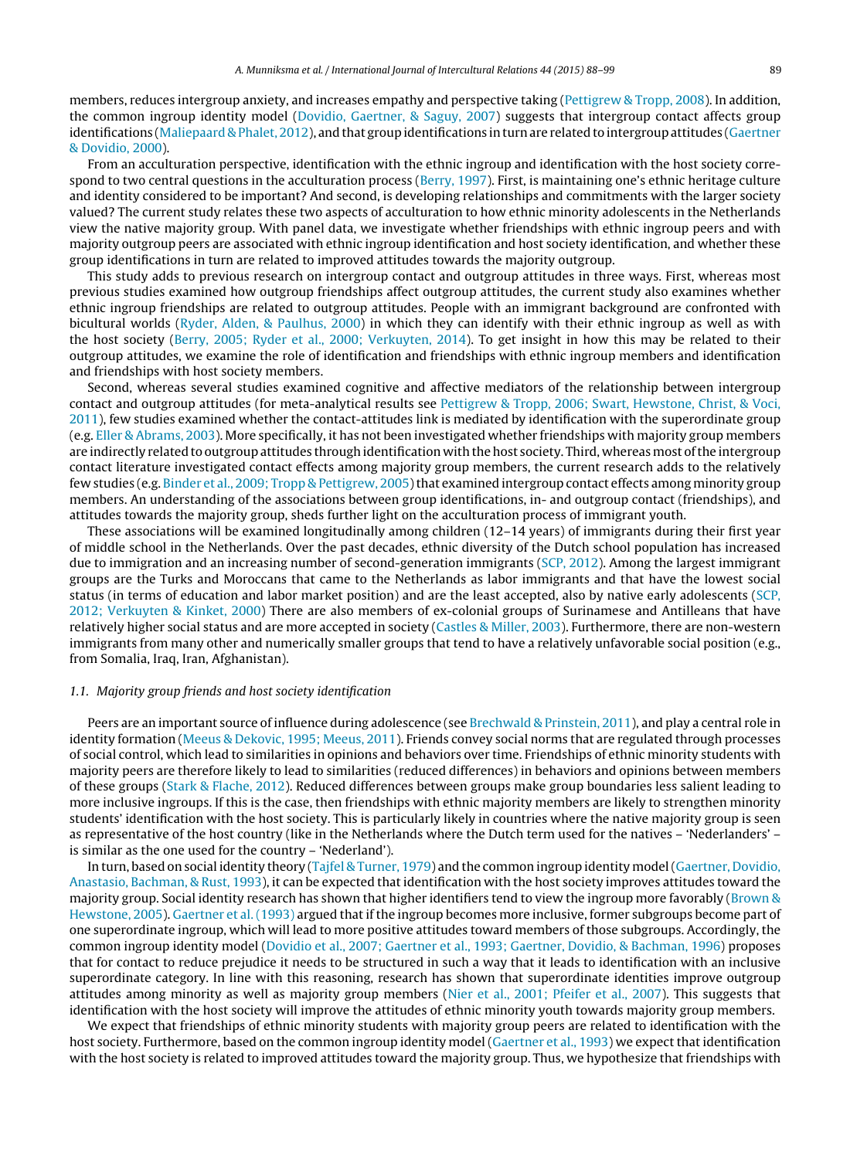members, reduces intergroup anxiety, and increases empathy and perspective taking ([Pettigrew](#page-10-0) [&](#page-10-0) [Tropp,](#page-10-0) [2008\).](#page-10-0) In addition, the common ingroup identity model ([Dovidio,](#page-10-0) [Gaertner,](#page-10-0) [&](#page-10-0) [Saguy,](#page-10-0) [2007\)](#page-10-0) suggests that intergroup contact affects group identifications [\(Maliepaard](#page-10-0) [&](#page-10-0) [Phalet,](#page-10-0) [2012\),](#page-10-0) and that group identifications in turn are related to intergroup attitudes [\(Gaertner](#page-10-0) [&](#page-10-0) [Dovidio,](#page-10-0) [2000\).](#page-10-0)

From an acculturation perspective, identification with the ethnic ingroup and identification with the host society corre-spond to two central questions in the acculturation process ([Berry,](#page-10-0) [1997\).](#page-10-0) First, is maintaining one's ethnic heritage culture and identity considered to be important? And second, is developing relationships and commitments with the larger society valued? The current study relates these two aspects of acculturation to how ethnic minority adolescents in the Netherlands view the native majority group. With panel data, we investigate whether friendships with ethnic ingroup peers and with majority outgroup peers are associated with ethnic ingroup identification and host society identification, and whether these group identifications in turn are related to improved attitudes towards the majority outgroup.

This study adds to previous research on intergroup contact and outgroup attitudes in three ways. First, whereas most previous studies examined how outgroup friendships affect outgroup attitudes, the current study also examines whether ethnic ingroup friendships are related to outgroup attitudes. People with an immigrant background are confronted with bicultural worlds ([Ryder,](#page-11-0) [Alden,](#page-11-0) [&](#page-11-0) [Paulhus,](#page-11-0) [2000\)](#page-11-0) in which they can identify with their ethnic ingroup as well as with the host society ([Berry,](#page-10-0) [2005;](#page-10-0) [Ryder](#page-10-0) et [al.,](#page-10-0) [2000;](#page-10-0) [Verkuyten,](#page-10-0) [2014\).](#page-10-0) To get insight in how this may be related to their outgroup attitudes, we examine the role of identification and friendships with ethnic ingroup members and identification and friendships with host society members.

Second, whereas several studies examined cognitive and affective mediators of the relationship between intergroup contact and outgroup attitudes (for meta-analytical results see [Pettigrew](#page-10-0) [&](#page-10-0) [Tropp,](#page-10-0) [2006;](#page-10-0) [Swart,](#page-10-0) [Hewstone,](#page-10-0) [Christ,](#page-10-0) [&](#page-10-0) [Voci,](#page-10-0) [2011\),](#page-10-0) few studies examined whether the contact-attitudes link is mediated by identification with the superordinate group (e.g. [Eller](#page-10-0) [&](#page-10-0) [Abrams,](#page-10-0) [2003\).](#page-10-0) More specifically, it has not been investigated whether friendships with majority group members are indirectly related to outgroup attitudes through identification with the host society. Third, whereas most of the intergroup contact literature investigated contact effects among majority group members, the current research adds to the relatively few studies (e.g. [Binder](#page-10-0) et [al.,](#page-10-0) [2009;](#page-10-0) [Tropp](#page-10-0) [&](#page-10-0) [Pettigrew,](#page-10-0) 2005) that examined intergroup contact effects among minority group members. An understanding of the associations between group identifications, in- and outgroup contact (friendships), and attitudes towards the majority group, sheds further light on the acculturation process of immigrant youth.

These associations will be examined longitudinally among children (12–14 years) of immigrants during their first year of middle school in the Netherlands. Over the past decades, ethnic diversity of the Dutch school population has increased due to immigration and an increasing number of second-generation immigrants ([SCP,](#page-11-0) [2012\).](#page-11-0) Among the largest immigrant groups are the Turks and Moroccans that came to the Netherlands as labor immigrants and that have the lowest social status (in terms of education and labor market position) and are the least accepted, also by native early adolescents [\(SCP,](#page-11-0) [2012;](#page-11-0) [Verkuyten](#page-11-0) [&](#page-11-0) [Kinket,](#page-11-0) [2000\)](#page-11-0) There are also members of ex-colonial groups of Surinamese and Antilleans that have relatively higher social status and are more accepted in society ([Castles](#page-10-0) [&](#page-10-0) [Miller,](#page-10-0) [2003\).](#page-10-0) Furthermore, there are non-western immigrants from many other and numerically smaller groups that tend to have a relatively unfavorable social position (e.g., from Somalia, Iraq, Iran, Afghanistan).

#### 1.1. Majority group friends and host society identification

Peers are an important source of influence during adolescence (see [Brechwald](#page-10-0) [&](#page-10-0) [Prinstein,](#page-10-0) [2011\),](#page-10-0) and play a central role in identity formation [\(Meeus](#page-10-0) [&](#page-10-0) [Dekovic,](#page-10-0) [1995;](#page-10-0) [Meeus,](#page-10-0) [2011\).](#page-10-0) Friends convey social norms that are regulated through processes of social control, which lead to similarities in opinions and behaviors over time. Friendships of ethnic minority students with majority peers are therefore likely to lead to similarities (reduced differences) in behaviors and opinions between members of these groups ([Stark](#page-11-0) [&](#page-11-0) [Flache,](#page-11-0) [2012\).](#page-11-0) Reduced differences between groups make group boundaries less salient leading to more inclusive ingroups. If this is the case, then friendships with ethnic majority members are likely to strengthen minority students' identification with the host society. This is particularly likely in countries where the native majority group is seen as representative of the host country (like in the Netherlands where the Dutch term used for the natives – 'Nederlanders' – is similar as the one used for the country – 'Nederland').

In turn, based on social identity theory [\(Tajfel](#page-11-0) [&](#page-11-0) [Turner,](#page-11-0) [1979\)](#page-11-0) and the common ingroup identity model[\(Gaertner,](#page-10-0) [Dovidio,](#page-10-0) [Anastasio,](#page-10-0) [Bachman,](#page-10-0) [&](#page-10-0) [Rust,](#page-10-0) [1993\),](#page-10-0) it can be expected that identification with the host society improves attitudes toward the majority group. Social identity research has shown that higher identifiers tend to view the ingroup more favorably ([Brown](#page-10-0) [&](#page-10-0) [Hewstone,](#page-10-0) [2005\).](#page-10-0) [Gaertner](#page-10-0) et [al.](#page-10-0) [\(1993\)](#page-10-0) argued that if the ingroup becomes more inclusive, former subgroups become part of one superordinate ingroup, which will lead to more positive attitudes toward members of those subgroups. Accordingly, the common ingroup identity model [\(Dovidio](#page-10-0) et [al.,](#page-10-0) [2007;](#page-10-0) [Gaertner](#page-10-0) et [al.,](#page-10-0) [1993;](#page-10-0) [Gaertner,](#page-10-0) [Dovidio,](#page-10-0) [&](#page-10-0) [Bachman,](#page-10-0) [1996\)](#page-10-0) proposes that for contact to reduce prejudice it needs to be structured in such a way that it leads to identification with an inclusive superordinate category. In line with this reasoning, research has shown that superordinate identities improve outgroup attitudes among minority as well as majority group members [\(Nier](#page-10-0) et [al.,](#page-10-0) [2001;](#page-10-0) [Pfeifer](#page-10-0) et [al.,](#page-10-0) [2007\).](#page-10-0) This suggests that identification with the host society will improve the attitudes of ethnic minority youth towards majority group members.

We expect that friendships of ethnic minority students with majority group peers are related to identification with the host society. Furthermore, based on the common ingroup identity model [\(Gaertner](#page-10-0) et [al.,](#page-10-0) [1993\)](#page-10-0) we expect that identification with the host society is related to improved attitudes toward the majority group. Thus, we hypothesize that friendships with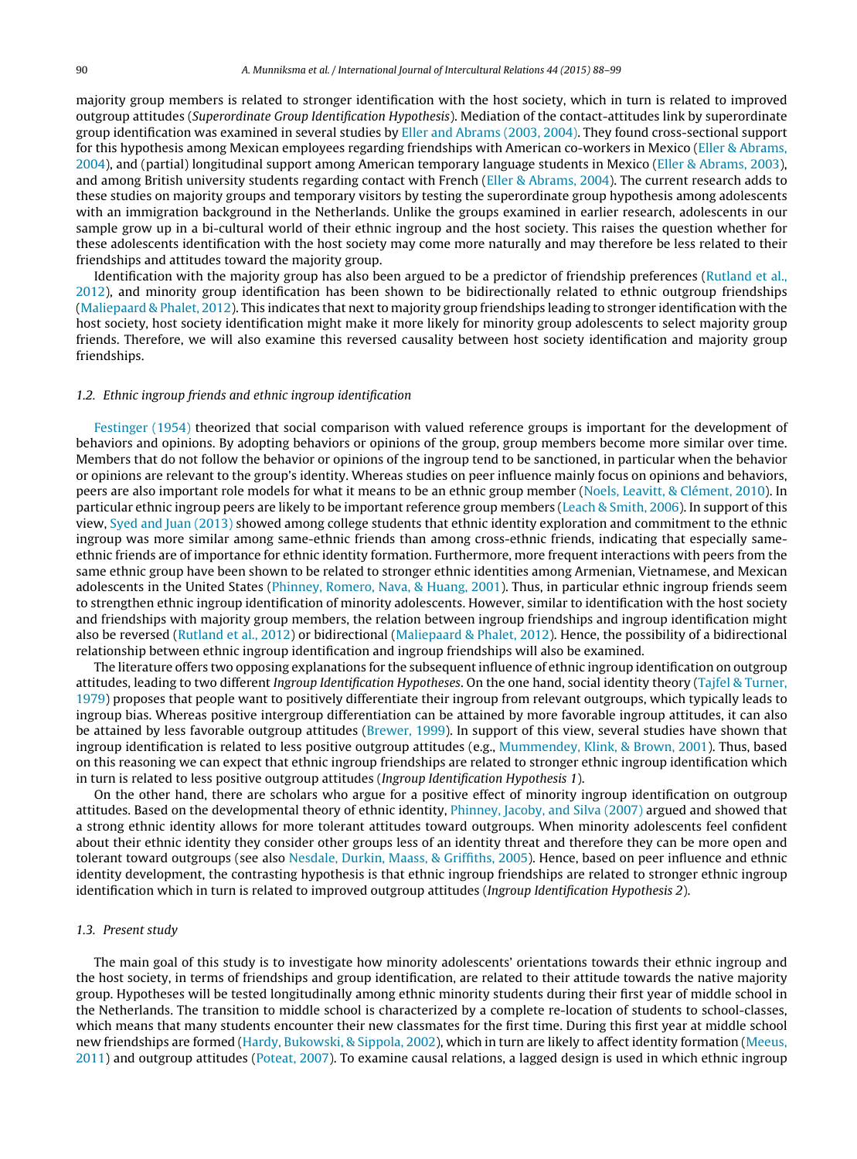majority group members is related to stronger identification with the host society, which in turn is related to improved outgroup attitudes (Superordinate Group Identification Hypothesis). Mediation of the contact-attitudes link by superordinate group identification was examined in several studies by [Eller](#page-10-0) [and](#page-10-0) [Abrams](#page-10-0) [\(2003,](#page-10-0) [2004\).](#page-10-0) They found cross-sectional support for this hypothesis among Mexican employees regarding friendships with American co-workers in Mexico [\(Eller](#page-10-0) [&](#page-10-0) [Abrams,](#page-10-0) [2004\),](#page-10-0) and (partial) longitudinal support among American temporary language students in Mexico [\(Eller](#page-10-0) [&](#page-10-0) [Abrams,](#page-10-0) [2003\),](#page-10-0) and among British university students regarding contact with French [\(Eller](#page-10-0) [&](#page-10-0) [Abrams,](#page-10-0) [2004\).](#page-10-0) The current research adds to these studies on majority groups and temporary visitors by testing the superordinate group hypothesis among adolescents with an immigration background in the Netherlands. Unlike the groups examined in earlier research, adolescents in our sample grow up in a bi-cultural world of their ethnic ingroup and the host society. This raises the question whether for these adolescents identification with the host society may come more naturally and may therefore be less related to their friendships and attitudes toward the majority group.

Identification with the majority group has also been argued to be a predictor of friendship preferences [\(Rutland](#page-11-0) et [al.,](#page-11-0) [2012\),](#page-11-0) and minority group identification has been shown to be bidirectionally related to ethnic outgroup friendships [\(Maliepaard](#page-10-0) [&](#page-10-0) [Phalet,](#page-10-0) [2012\).](#page-10-0) This indicates that next to majority group friendships leading to stronger identification with the host society, host society identification might make it more likely for minority group adolescents to select majority group friends. Therefore, we will also examine this reversed causality between host society identification and majority group friendships.

#### 1.2. Ethnic ingroup friends and ethnic ingroup identification

[Festinger](#page-10-0) [\(1954\)](#page-10-0) theorized that social comparison with valued reference groups is important for the development of behaviors and opinions. By adopting behaviors or opinions of the group, group members become more similar over time. Members that do not follow the behavior or opinions of the ingroup tend to be sanctioned, in particular when the behavior or opinions are relevant to the group's identity. Whereas studies on peer influence mainly focus on opinions and behaviors, peers are also important role models for what it means to be an ethnic group member [\(Noels,](#page-10-0) [Leavitt,](#page-10-0) [&](#page-10-0) [Clément,](#page-10-0) [2010\).](#page-10-0) In particular ethnic ingroup peers are likely to be important reference group members [\(Leach](#page-10-0) [&](#page-10-0) [Smith,](#page-10-0) [2006\).](#page-10-0) In support of this view, [Syed](#page-11-0) [and](#page-11-0) [Juan](#page-11-0) [\(2013\)](#page-11-0) showed among college students that ethnic identity exploration and commitment to the ethnic ingroup was more similar among same-ethnic friends than among cross-ethnic friends, indicating that especially sameethnic friends are of importance for ethnic identity formation. Furthermore, more frequent interactions with peers from the same ethnic group have been shown to be related to stronger ethnic identities among Armenian, Vietnamese, and Mexican adolescents in the United States ([Phinney,](#page-11-0) [Romero,](#page-11-0) [Nava,](#page-11-0) [&](#page-11-0) [Huang,](#page-11-0) [2001\).](#page-11-0) Thus, in particular ethnic ingroup friends seem to strengthen ethnic ingroup identification of minority adolescents. However, similar to identification with the host society and friendships with majority group members, the relation between ingroup friendships and ingroup identification might also be reversed [\(Rutland](#page-11-0) et [al.,](#page-11-0) [2012\)](#page-11-0) or bidirectional [\(Maliepaard](#page-10-0) [&](#page-10-0) [Phalet,](#page-10-0) [2012\).](#page-10-0) Hence, the possibility of a bidirectional relationship between ethnic ingroup identification and ingroup friendships will also be examined.

The literature offers two opposing explanations for the subsequent influence of ethnic ingroup identification on outgroup attitudes, leading to two different Ingroup Identification Hypotheses. On the one hand, social identity theory [\(Tajfel](#page-11-0) [&](#page-11-0) [Turner,](#page-11-0) [1979\)](#page-11-0) proposes that people want to positively differentiate their ingroup from relevant outgroups, which typically leads to ingroup bias. Whereas positive intergroup differentiation can be attained by more favorable ingroup attitudes, it can also be attained by less favorable outgroup attitudes ([Brewer,](#page-10-0) [1999\).](#page-10-0) In support of this view, several studies have shown that ingroup identification is related to less positive outgroup attitudes (e.g., [Mummendey,](#page-10-0) [Klink,](#page-10-0) [&](#page-10-0) [Brown,](#page-10-0) [2001\).](#page-10-0) Thus, based on this reasoning we can expect that ethnic ingroup friendships are related to stronger ethnic ingroup identification which in turn is related to less positive outgroup attitudes (Ingroup Identification Hypothesis 1).

On the other hand, there are scholars who argue for a positive effect of minority ingroup identification on outgroup attitudes. Based on the developmental theory of ethnic identity, [Phinney,](#page-11-0) [Jacoby,](#page-11-0) [and](#page-11-0) [Silva](#page-11-0) [\(2007\)](#page-11-0) argued and showed that a strong ethnic identity allows for more tolerant attitudes toward outgroups. When minority adolescents feel confident about their ethnic identity they consider other groups less of an identity threat and therefore they can be more open and tolerant toward outgroups (see also [Nesdale,](#page-10-0) [Durkin,](#page-10-0) [Maass,](#page-10-0) [&](#page-10-0) [Griffiths,](#page-10-0) [2005\).](#page-10-0) Hence, based on peer influence and ethnic identity development, the contrasting hypothesis is that ethnic ingroup friendships are related to stronger ethnic ingroup identification which in turn is related to improved outgroup attitudes (Ingroup Identification Hypothesis 2).

## 1.3. Present study

The main goal of this study is to investigate how minority adolescents' orientations towards their ethnic ingroup and the host society, in terms of friendships and group identification, are related to their attitude towards the native majority group. Hypotheses will be tested longitudinally among ethnic minority students during their first year of middle school in the Netherlands. The transition to middle school is characterized by a complete re-location of students to school-classes, which means that many students encounter their new classmates for the first time. During this first year at middle school new friendships are formed ([Hardy,](#page-10-0) [Bukowski,](#page-10-0) [&](#page-10-0) [Sippola,](#page-10-0) [2002\),](#page-10-0) which in turn are likely to affect identity formation [\(Meeus,](#page-10-0) [2011\)](#page-10-0) and outgroup attitudes ([Poteat,](#page-11-0) [2007\).](#page-11-0) To examine causal relations, a lagged design is used in which ethnic ingroup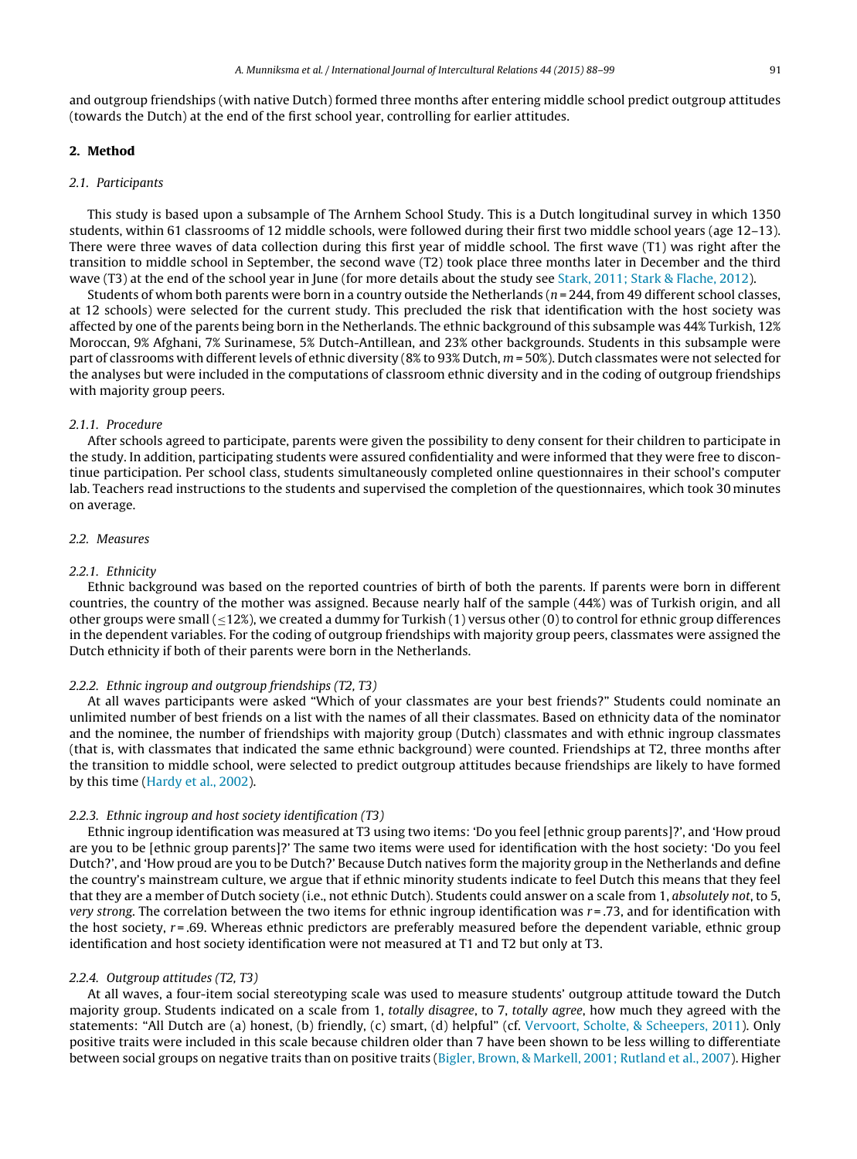and outgroup friendships (with native Dutch) formed three months after entering middle school predict outgroup attitudes (towards the Dutch) at the end of the first school year, controlling for earlier attitudes.

## **2. Method**

## 2.1. Participants

This study is based upon a subsample of The Arnhem School Study. This is a Dutch longitudinal survey in which 1350 students, within 61 classrooms of 12 middle schools, were followed during their first two middle school years (age 12–13). There were three waves of data collection during this first year of middle school. The first wave (T1) was right after the transition to middle school in September, the second wave (T2) took place three months later in December and the third wave (T3) at the end of the school year in June (for more details about the study see [Stark,](#page-11-0) [2011;](#page-11-0) [Stark](#page-11-0) [&](#page-11-0) [Flache,](#page-11-0) [2012\).](#page-11-0)

Students of whom both parents were born in a country outside the Netherlands ( $n = 244$ , from 49 different school classes, at 12 schools) were selected for the current study. This precluded the risk that identification with the host society was affected by one of the parents being born in the Netherlands. The ethnic background of this subsample was 44% Turkish, 12% Moroccan, 9% Afghani, 7% Surinamese, 5% Dutch-Antillean, and 23% other backgrounds. Students in this subsample were part of classrooms with different levels of ethnic diversity (8% to 93% Dutch,  $m = 50$ %). Dutch classmates were not selected for the analyses but were included in the computations of classroom ethnic diversity and in the coding of outgroup friendships with majority group peers.

## 2.1.1. Procedure

After schools agreed to participate, parents were given the possibility to deny consent for their children to participate in the study. In addition, participating students were assured confidentiality and were informed that they were free to discontinue participation. Per school class, students simultaneously completed online questionnaires in their school's computer lab. Teachers read instructions to the students and supervised the completion of the questionnaires, which took 30 minutes on average.

## 2.2. Measures

#### 2.2.1. Ethnicity

Ethnic background was based on the reported countries of birth of both the parents. If parents were born in different countries, the country of the mother was assigned. Because nearly half of the sample (44%) was of Turkish origin, and all other groups were small (≤12%), we created a dummy for Turkish (1) versus other (0) to control for ethnic group differences in the dependent variables. For the coding of outgroup friendships with majority group peers, classmates were assigned the Dutch ethnicity if both of their parents were born in the Netherlands.

## 2.2.2. Ethnic ingroup and outgroup friendships (T2, T3)

At all waves participants were asked "Which of your classmates are your best friends?" Students could nominate an unlimited number of best friends on a list with the names of all their classmates. Based on ethnicity data of the nominator and the nominee, the number of friendships with majority group (Dutch) classmates and with ethnic ingroup classmates (that is, with classmates that indicated the same ethnic background) were counted. Friendships at T2, three months after the transition to middle school, were selected to predict outgroup attitudes because friendships are likely to have formed by this time ([Hardy](#page-10-0) et [al.,](#page-10-0) [2002\).](#page-10-0)

# 2.2.3. Ethnic ingroup and host society identification (T3)

Ethnic ingroup identification was measured at T3 using two items: 'Do you feel [ethnic group parents]?', and 'How proud are you to be [ethnic group parents]?' The same two items were used for identification with the host society: 'Do you feel Dutch?', and 'How proud are you to be Dutch?' Because Dutch natives form the majority group in the Netherlands and define the country's mainstream culture, we argue that if ethnic minority students indicate to feel Dutch this means that they feel that they are a member of Dutch society (i.e., not ethnic Dutch). Students could answer on a scale from 1, absolutely not, to 5, very strong. The correlation between the two items for ethnic ingroup identification was  $r = .73$ , and for identification with the host society,  $r = .69$ . Whereas ethnic predictors are preferably measured before the dependent variable, ethnic group identification and host society identification were not measured at T1 and T2 but only at T3.

#### 2.2.4. Outgroup attitudes (T2, T3)

At all waves, a four-item social stereotyping scale was used to measure students' outgroup attitude toward the Dutch majority group. Students indicated on a scale from 1, totally disagree, to 7, totally agree, how much they agreed with the statements: "All Dutch are (a) honest, (b) friendly, (c) smart, (d) helpful" (cf. [Vervoort,](#page-11-0) [Scholte,](#page-11-0) [&](#page-11-0) [Scheepers,](#page-11-0) [2011\).](#page-11-0) Only positive traits were included in this scale because children older than 7 have been shown to be less willing to differentiate between social groups on negative traits than on positive traits ([Bigler,](#page-10-0) [Brown,](#page-10-0) [&](#page-10-0) [Markell,](#page-10-0) [2001;](#page-10-0) [Rutland](#page-10-0) et [al.,](#page-10-0) [2007\).](#page-10-0) Higher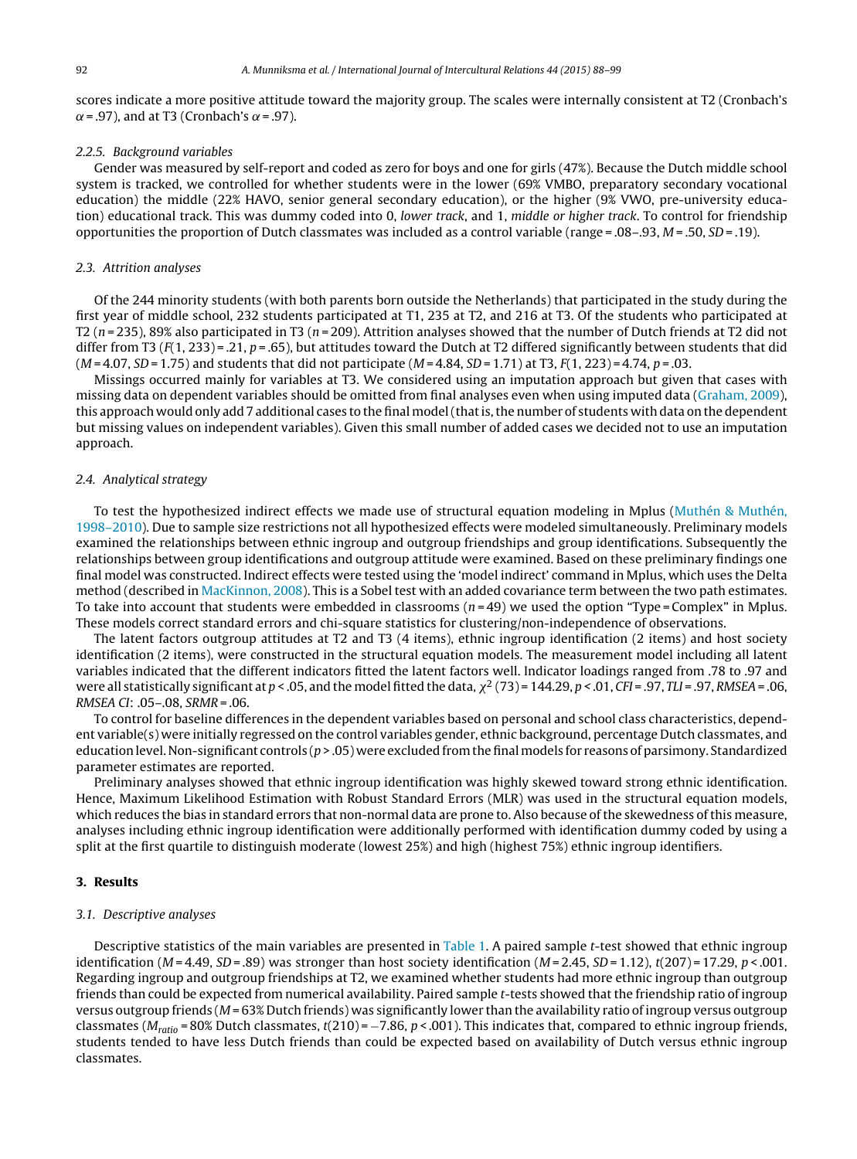scores indicate a more positive attitude toward the majority group. The scales were internally consistent at T2 (Cronbach's  $\alpha$  = .97), and at T3 (Cronbach's  $\alpha$  = .97).

## 2.2.5. Background variables

Gender was measured by self-report and coded as zero for boys and one for girls (47%). Because the Dutch middle school system is tracked, we controlled for whether students were in the lower (69% VMBO, preparatory secondary vocational education) the middle (22% HAVO, senior general secondary education), or the higher (9% VWO, pre-university education) educational track. This was dummy coded into 0, lower track, and 1, middle or higher track. To control for friendship opportunities the proportion of Dutch classmates was included as a control variable (range = .08–.93,  $M = .50$ ,  $SD = .19$ ).

#### 2.3. Attrition analyses

Of the 244 minority students (with both parents born outside the Netherlands) that participated in the study during the first year of middle school, 232 students participated at T1, 235 at T2, and 216 at T3. Of the students who participated at T2 ( $n = 235$ ), 89% also participated in T3 ( $n = 209$ ). Attrition analyses showed that the number of Dutch friends at T2 did not differ from T3 ( $F(1, 233) = .21$ ,  $p = .65$ ), but attitudes toward the Dutch at T2 differed significantly between students that did  $(M = 4.07, SD = 1.75)$  and students that did not participate  $(M = 4.84, SD = 1.71)$  at T3,  $F(1, 223) = 4.74, p = .03$ .

Missings occurred mainly for variables at T3. We considered using an imputation approach but given that cases with missing data on dependent variables should be omitted from final analyses even when using imputed data ([Graham,](#page-10-0) [2009\),](#page-10-0) this approach would only add 7 additional cases to the final model (that is, the number of students with data on the dependent but missing values on independent variables). Given this small number of added cases we decided not to use an imputation approach.

#### 2.4. Analytical strategy

To test the hypothesized indirect effects we made use of structural equation modeling in Mplus ([Muthén](#page-10-0) [&](#page-10-0) [Muthén,](#page-10-0) [1998–2010\).](#page-10-0) Due to sample size restrictions not all hypothesized effects were modeled simultaneously. Preliminary models examined the relationships between ethnic ingroup and outgroup friendships and group identifications. Subsequently the relationships between group identifications and outgroup attitude were examined. Based on these preliminary findings one final model was constructed. Indirect effects were tested using the 'model indirect' command in Mplus, which uses the Delta method (described in [MacKinnon,](#page-10-0) [2008\).](#page-10-0) This is a Sobel test with an added covariance term between the two path estimates. To take into account that students were embedded in classrooms  $(n=49)$  we used the option "Type=Complex" in Mplus. These models correct standard errors and chi-square statistics for clustering/non-independence of observations.

The latent factors outgroup attitudes at T2 and T3 (4 items), ethnic ingroup identification (2 items) and host society identification (2 items), were constructed in the structural equation models. The measurement model including all latent variables indicated that the different indicators fitted the latent factors well. Indicator loadings ranged from .78 to .97 and were all statistically significant at p < .05, and the model fitted the data,  $\chi^2$  (73) = 144.29, p < .01, CFI = .97, TLI = .97, RMSEA = .06, RMSEA CI: .05–.08, SRMR = .06.

To control for baseline differences in the dependent variables based on personal and school class characteristics, dependent variable(s) were initially regressed on the control variables gender, ethnic background, percentage Dutch classmates, and education level. Non-significant controls  $(p > .05)$  were excluded from the final models for reasons of parsimony. Standardized parameter estimates are reported.

Preliminary analyses showed that ethnic ingroup identification was highly skewed toward strong ethnic identification. Hence, Maximum Likelihood Estimation with Robust Standard Errors (MLR) was used in the structural equation models, which reduces the bias in standard errors that non-normal data are prone to. Also because ofthe skewedness ofthis measure, analyses including ethnic ingroup identification were additionally performed with identification dummy coded by using a split at the first quartile to distinguish moderate (lowest 25%) and high (highest 75%) ethnic ingroup identifiers.

## **3. Results**

#### 3.1. Descriptive analyses

Descriptive statistics of the main variables are presented in [Table](#page-5-0) 1. A paired sample t-test showed that ethnic ingroup identification ( $M = 4.49$ ,  $SD = .89$ ) was stronger than host society identification ( $M = 2.45$ ,  $SD = 1.12$ ),  $t(207) = 17.29$ ,  $p < .001$ . Regarding ingroup and outgroup friendships at T2, we examined whether students had more ethnic ingroup than outgroup friends than could be expected from numerical availability. Paired sample t-tests showed that the friendship ratio of ingroup versus outgroup friends ( $M = 63\%$  Dutch friends) was significantly lower than the availability ratio of ingroup versus outgroup classmates ( $M_{ratio}$  = 80% Dutch classmates, t(210) = -7.86, p < .001). This indicates that, compared to ethnic ingroup friends, students tended to have less Dutch friends than could be expected based on availability of Dutch versus ethnic ingroup classmates.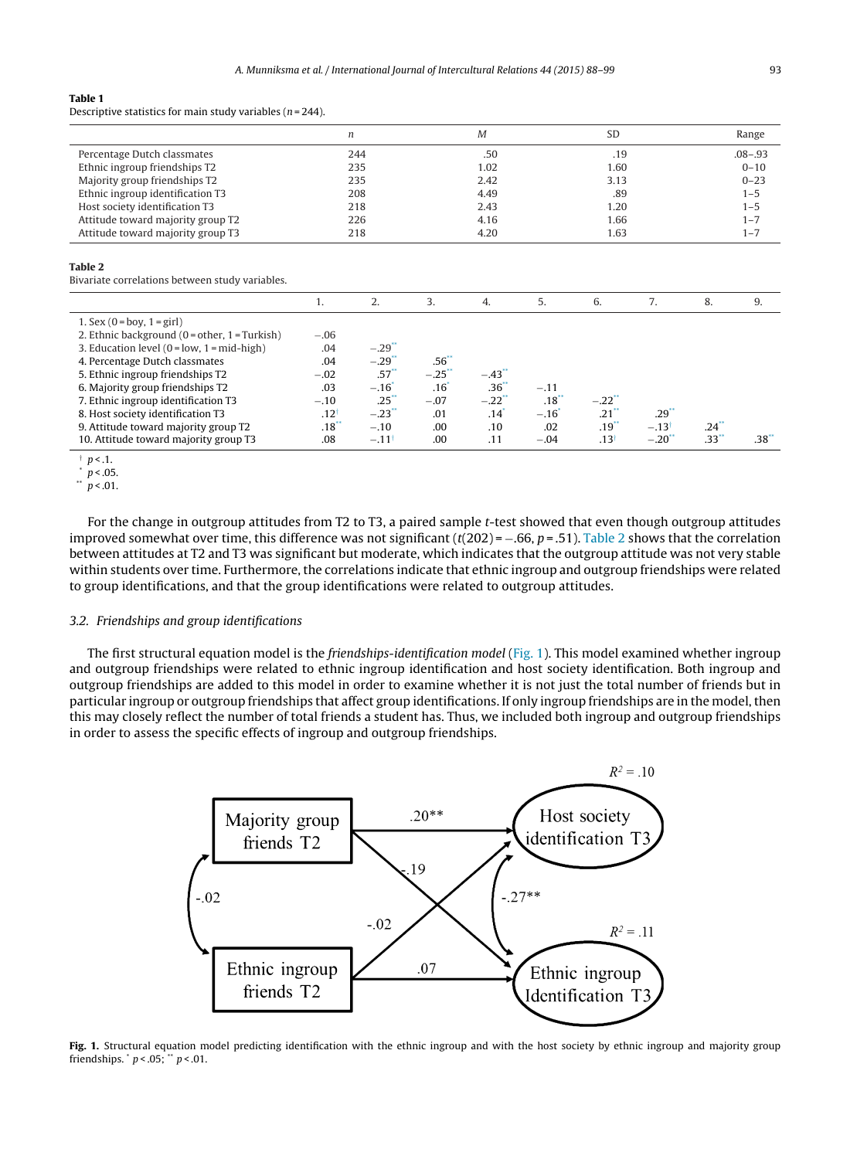#### <span id="page-5-0"></span>**Table 1**

Descriptive statistics for main study variables ( $n = 244$ ).

|                                   | n   | M    | <b>SD</b> | Range       |
|-----------------------------------|-----|------|-----------|-------------|
| Percentage Dutch classmates       | 244 | .50  | .19       | $.08 - .93$ |
| Ethnic ingroup friendships T2     | 235 | 1.02 | 1.60      | $0 - 10$    |
| Majority group friendships T2     | 235 | 2.42 | 3.13      | $0 - 23$    |
| Ethnic ingroup identification T3  | 208 | 4.49 | .89       | $1 - 5$     |
| Host society identification T3    | 218 | 2.43 | 1.20      | $1 - 5$     |
| Attitude toward majority group T2 | 226 | 4.16 | 1.66      | $1 - 7$     |
| Attitude toward majority group T3 | 218 | 4.20 | 1.63      | $1 - 7$     |

#### **Table 2**

Bivariate correlations between study variables.

|                                                 |                 |                     | 3.                 | 4.                   | 5.                  | 6.                  | 7.               | 8.                  | 9.         |
|-------------------------------------------------|-----------------|---------------------|--------------------|----------------------|---------------------|---------------------|------------------|---------------------|------------|
| 1. Sex $(0 = boy, 1 = girl)$                    |                 |                     |                    |                      |                     |                     |                  |                     |            |
| 2. Ethnic background $(0 = other, 1 = Turkish)$ | $-.06$          |                     |                    |                      |                     |                     |                  |                     |            |
| 3. Education level $(0 = low, 1 = mid - high)$  | .04             | $-.29^{\degree}$    |                    |                      |                     |                     |                  |                     |            |
| 4. Percentage Dutch classmates                  | .04             | $-.29$ <sup>*</sup> | $.56$ **           |                      |                     |                     |                  |                     |            |
| 5. Ethnic ingroup friendships T2                | $-.02$          | $.57*$              | $-.25$             | $-.43"$              |                     |                     |                  |                     |            |
| 6. Majority group friendships T2                | .03             | $-.16$ <sup>*</sup> | $.16$ <sup>*</sup> | $.36^{**}$           | $-.11$              |                     |                  |                     |            |
| 7. Ethnic ingroup identification T3             | $-.10$          | .25                 | $-.07$             | $-.22$ <sup>**</sup> | $.18^{**}$          | $-.22$              |                  |                     |            |
| 8. Host society identification T3               | $.12^{\dagger}$ | $-.23$ <sup>*</sup> | .01                | $.14$ <sup>*</sup>   | $-.16$ <sup>*</sup> | $.21$ <sup>**</sup> | .29'''           |                     |            |
| 9. Attitude toward majority group T2            | .18             | $-.10$              | .00                | .10                  | .02                 | $.19$ <sup>**</sup> | $-.13^{\dagger}$ | $.24$ <sup>**</sup> |            |
| 10. Attitude toward majority group T3           | .08             | $-.11$ <sup>†</sup> | .00                | .11                  | $-.04$              | $.13^{\dagger}$     | $-.20^{\degree}$ | $.33***$            | $.38^{**}$ |

 $\frac{1}{x}$  p < .1.

 $p < .05$ .

For the change in outgroup attitudes from T2 to T3, a paired sample t-test showed that even though outgroup attitudes improved somewhat over time, this difference was not significant  $(t(202) = -.66, p = .51)$ . Table 2 shows that the correlation between attitudes at T2 and T3 was significant but moderate, which indicates that the outgroup attitude was not very stable within students over time. Furthermore, the correlations indicate that ethnic ingroup and outgroup friendships were related to group identifications, and that the group identifications were related to outgroup attitudes.

## 3.2. Friendships and group identifications

The first structural equation model is the friendships-identification model (Fig. 1). This model examined whether ingroup and outgroup friendships were related to ethnic ingroup identification and host society identification. Both ingroup and outgroup friendships are added to this model in order to examine whether it is not just the total number of friends but in particular ingroup or outgroup friendships that affect group identifications. If only ingroup friendships are in the model, then this may closely reflect the number of total friends a student has. Thus, we included both ingroup and outgroup friendships in order to assess the specific effects of ingroup and outgroup friendships.



**Fig. 1.** Structural equation model predicting identification with the ethnic ingroup and with the host society by ethnic ingroup and majority group friendships.  $p < .05$ ;  $p < .01$ .

 $p < .01$ .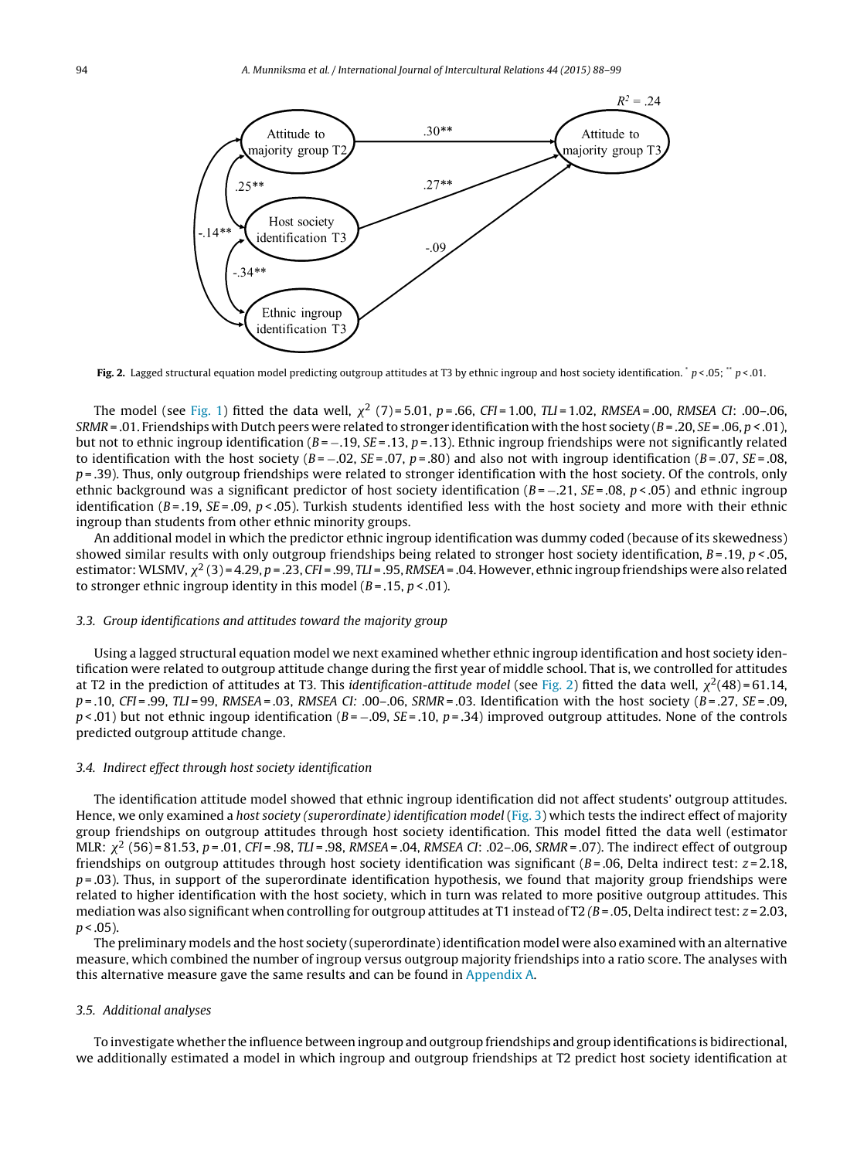

**Fig. 2.** Lagged structural equation model predicting outgroup attitudes at T3 by ethnic ingroup and host society identification.  $p < 0.05$ ;  $p < 0.01$ .

The model (see [Fig.](#page-5-0) 1) fitted the data well,  $\chi^2$  (7)=5.01, p=.66, CFI=1.00, TLI=1.02, RMSEA=.00, RMSEA CI: .00–.06, SRMR = .01. Friendships with Dutch peers were related to stronger identification with the host society ( $B = .20$ ,  $SE = .06$ ,  $p < .01$ ), but not to ethnic ingroup identification ( $B = -.19$ ,  $SE = .13$ ,  $p = .13$ ). Ethnic ingroup friendships were not significantly related to identification with the host society  $(B = -.02, SE = .07, p = .80)$  and also not with ingroup identification  $(B = .07, SE = .08,$  $p = 0.39$ ). Thus, only outgroup friendships were related to stronger identification with the host society. Of the controls, only ethnic background was a significant predictor of host society identification  $(B = -0.21, SE = 0.08, p < 0.05)$  and ethnic ingroup identification  $(B = .19, SE = .09, p < .05)$ . Turkish students identified less with the host society and more with their ethnic ingroup than students from other ethnic minority groups.

An additional model in which the predictor ethnic ingroup identification was dummy coded (because of its skewedness) showed similar results with only outgroup friendships being related to stronger host society identification,  $B = .19$ ,  $p < .05$ , estimator: WLSMV,  $\chi^2$  (3) = 4.29, p = .23, CFI = .99, TLI = .95, RMSEA = .04. However, ethnic ingroup friendships were also related to stronger ethnic ingroup identity in this model  $(B = .15, p < .01)$ .

## 3.3. Group identifications and attitudes toward the majority group

Using a lagged structural equation model we next examined whether ethnic ingroup identification and host society identification were related to outgroup attitude change during the first year of middle school. That is, we controlled for attitudes at T2 in the prediction of attitudes at T3. This identification-attitude model (see Fig. 2) fitted the data well,  $\chi^2(48)$ =61.14,  $p = 0.10$ , CFI = .99, TLI = 99, RMSEA = .03, RMSEA CI: .00–.06, SRMR = .03. Identification with the host society (B = .27, SE = .09,  $p$  <.01) but not ethnic ingoup identification ( $B = -.09$ ,  $SE = .10$ ,  $p = .34$ ) improved outgroup attitudes. None of the controls predicted outgroup attitude change.

#### 3.4. Indirect effect through host society identification

The identification attitude model showed that ethnic ingroup identification did not affect students' outgroup attitudes. Hence, we only examined a host society (superordinate) identification model ([Fig.](#page-7-0) 3) which tests the indirect effect of majority group friendships on outgroup attitudes through host society identification. This model fitted the data well (estimator MLR:  $\chi^2$  (56) = 81.53, p = .01, CFI = .98, TLI = .98, RMSEA = .04, RMSEA CI: .02–.06, SRMR = .07). The indirect effect of outgroup friendships on outgroup attitudes through host society identification was significant ( $B = .06$ , Delta indirect test:  $z = 2.18$ ,  $p = .03$ ). Thus, in support of the superordinate identification hypothesis, we found that majority group friendships were related to higher identification with the host society, which in turn was related to more positive outgroup attitudes. This mediation was also significant when controlling for outgroup attitudes at T1 instead of T2 ( $B = .05$ , Delta indirect test:  $z = 2.03$ ,  $p < .05$ ).

The preliminary models and the host society (superordinate) identification model were also examined with an alternative measure, which combined the number of ingroup versus outgroup majority friendships into a ratio score. The analyses with this alternative measure gave the same results and can be found in [Appendix](#page-9-0) [A.](#page-9-0)

#### 3.5. Additional analyses

To investigate whether the influence between ingroup and outgroup friendships and group identifications is bidirectional, we additionally estimated a model in which ingroup and outgroup friendships at T2 predict host society identification at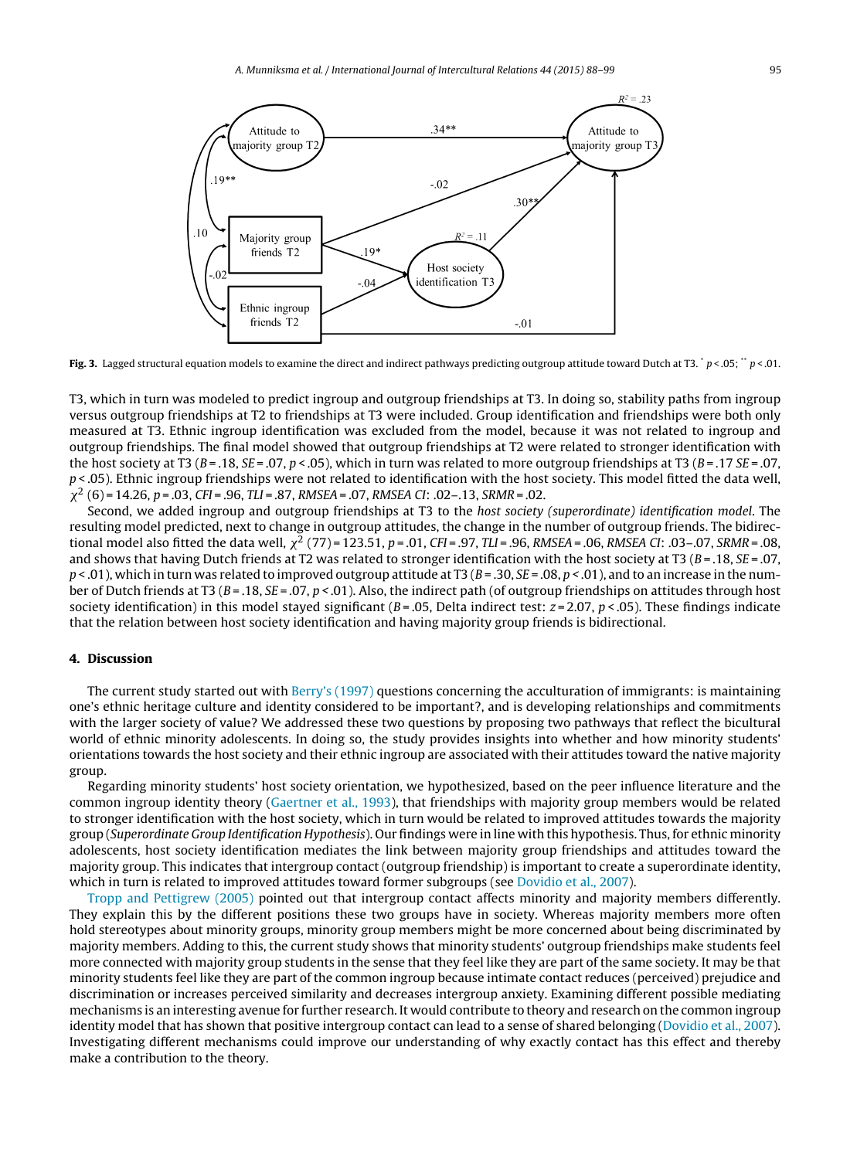<span id="page-7-0"></span>

**Fig. 3.** Lagged structural equation models to examine the direct and indirect pathways predicting outgroup attitude toward Dutch at T3.  $p < 05$ ;  $p < 01$ .

T3, which in turn was modeled to predict ingroup and outgroup friendships at T3. In doing so, stability paths from ingroup versus outgroup friendships at T2 to friendships at T3 were included. Group identification and friendships were both only measured at T3. Ethnic ingroup identification was excluded from the model, because it was not related to ingroup and outgroup friendships. The final model showed that outgroup friendships at T2 were related to stronger identification with the host society at T3 ( $B = .18$ ,  $SE = .07$ ,  $p < .05$ ), which in turn was related to more outgroup friendships at T3 ( $B = .17$   $SE = .07$ ,  $p$  < .05). Ethnic ingroup friendships were not related to identification with the host society. This model fitted the data well,  $\chi^2$  (6) = 14.26, p = .03, CFI = .96, TLI = .87, RMSEA = .07, RMSEA CI: .02–.13, SRMR = .02.

Second, we added ingroup and outgroup friendships at T3 to the host society (superordinate) identification model. The resulting model predicted, next to change in outgroup attitudes, the change in the number of outgroup friends. The bidirectional model also fitted the data well,  $\chi^2$  (77)= 123.51, p = .01, CFI= .97, TLI= .96, RMSEA = .06, RMSEA CI: .03–.07, SRMR = .08, and shows that having Dutch friends at T2 was related to stronger identification with the host society at T3 ( $B = .18$ ,  $SE = .07$ ,  $p$  < .01), which in turn was related to improved outgroup attitude at T3 ( $B$  = .30,  $SE$  = .08,  $p$  < .01), and to an increase in the number of Dutch friends at T3 ( $B = 0.18$ ,  $SE = 0.07$ ,  $p < 0.01$ ). Also, the indirect path (of outgroup friendships on attitudes through host society identification) in this model stayed significant ( $B = .05$ , Delta indirect test:  $z = 2.07$ ,  $p < .05$ ). These findings indicate that the relation between host society identification and having majority group friends is bidirectional.

# **4. Discussion**

The current study started out with [Berry's](#page-10-0) [\(1997\)](#page-10-0) questions concerning the acculturation of immigrants: is maintaining one's ethnic heritage culture and identity considered to be important?, and is developing relationships and commitments with the larger society of value? We addressed these two questions by proposing two pathways that reflect the bicultural world of ethnic minority adolescents. In doing so, the study provides insights into whether and how minority students' orientations towards the host society and their ethnic ingroup are associated with their attitudes toward the native majority group.

Regarding minority students' host society orientation, we hypothesized, based on the peer influence literature and the common ingroup identity theory [\(Gaertner](#page-10-0) et [al.,](#page-10-0) [1993\),](#page-10-0) that friendships with majority group members would be related to stronger identification with the host society, which in turn would be related to improved attitudes towards the majority group (Superordinate Group Identification Hypothesis). Our findings were in line with this hypothesis. Thus, for ethnic minority adolescents, host society identification mediates the link between majority group friendships and attitudes toward the majority group. This indicates that intergroup contact (outgroup friendship) is important to create a superordinate identity, which in turn is related to improved attitudes toward former subgroups (see [Dovidio](#page-10-0) et [al.,](#page-10-0) [2007\).](#page-10-0)

[Tropp](#page-11-0) [and](#page-11-0) [Pettigrew](#page-11-0) [\(2005\)](#page-11-0) pointed out that intergroup contact affects minority and majority members differently. They explain this by the different positions these two groups have in society. Whereas majority members more often hold stereotypes about minority groups, minority group members might be more concerned about being discriminated by majority members. Adding to this, the current study shows that minority students' outgroup friendships make students feel more connected with majority group students in the sense that they feel like they are part of the same society. It may be that minority students feel like they are part of the common ingroup because intimate contact reduces (perceived) prejudice and discrimination or increases perceived similarity and decreases intergroup anxiety. Examining different possible mediating mechanisms is an interesting avenue for further research. It would contribute to theory and research on the common ingroup identity model that has shown that positive intergroup contact can lead to a sense of shared belonging ([Dovidio](#page-10-0) et [al.,](#page-10-0) [2007\).](#page-10-0) Investigating different mechanisms could improve our understanding of why exactly contact has this effect and thereby make a contribution to the theory.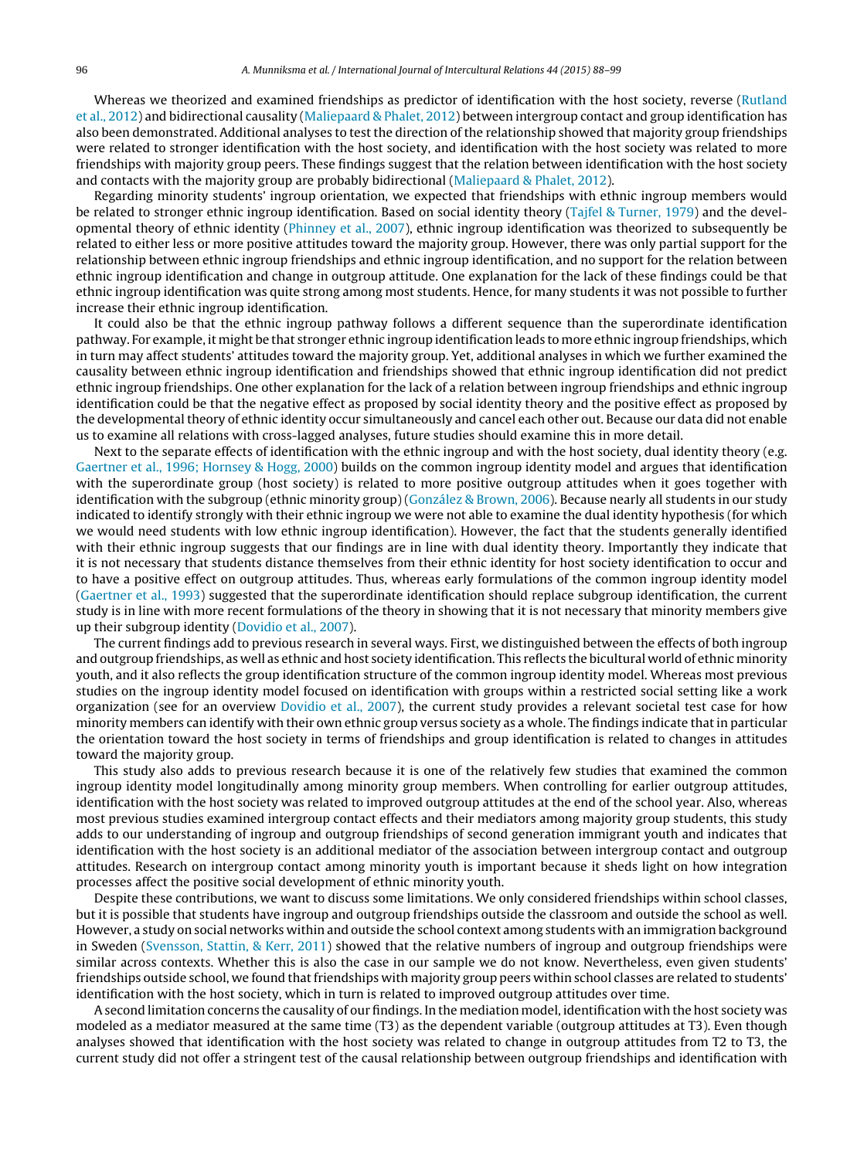Whereas we theorized and examined friendships as predictor of identification with the host society, reverse ([Rutland](#page-11-0) et [al.,](#page-11-0) [2012\)](#page-11-0) and bidirectional causality [\(Maliepaard](#page-10-0) [&](#page-10-0) [Phalet,](#page-10-0) [2012\)](#page-10-0) between intergroup contact and group identification has also been demonstrated. Additional analyses to test the direction of the relationship showed that majority group friendships were related to stronger identification with the host society, and identification with the host society was related to more friendships with majority group peers. These findings suggest that the relation between identification with the host society and contacts with the majority group are probably bidirectional [\(Maliepaard](#page-10-0) [&](#page-10-0) [Phalet,](#page-10-0) [2012\).](#page-10-0)

Regarding minority students' ingroup orientation, we expected that friendships with ethnic ingroup members would be related to stronger ethnic ingroup identification. Based on social identity theory [\(Tajfel](#page-11-0) [&](#page-11-0) [Turner,](#page-11-0) [1979\)](#page-11-0) and the developmental theory of ethnic identity ([Phinney](#page-11-0) et [al.,](#page-11-0) [2007\),](#page-11-0) ethnic ingroup identification was theorized to subsequently be related to either less or more positive attitudes toward the majority group. However, there was only partial support for the relationship between ethnic ingroup friendships and ethnic ingroup identification, and no support for the relation between ethnic ingroup identification and change in outgroup attitude. One explanation for the lack of these findings could be that ethnic ingroup identification was quite strong among most students. Hence, for many students it was not possible to further increase their ethnic ingroup identification.

It could also be that the ethnic ingroup pathway follows a different sequence than the superordinate identification pathway. For example, it might be that stronger ethnic ingroup identification leads to more ethnic ingroup friendships, which in turn may affect students' attitudes toward the majority group. Yet, additional analyses in which we further examined the causality between ethnic ingroup identification and friendships showed that ethnic ingroup identification did not predict ethnic ingroup friendships. One other explanation for the lack of a relation between ingroup friendships and ethnic ingroup identification could be that the negative effect as proposed by social identity theory and the positive effect as proposed by the developmental theory of ethnic identity occur simultaneously and cancel each other out. Because our data did not enable us to examine all relations with cross-lagged analyses, future studies should examine this in more detail.

Next to the separate effects of identification with the ethnic ingroup and with the host society, dual identity theory (e.g. [Gaertner](#page-10-0) et [al.,](#page-10-0) [1996;](#page-10-0) [Hornsey](#page-10-0) [&](#page-10-0) [Hogg,](#page-10-0) [2000\)](#page-10-0) builds on the common ingroup identity model and argues that identification with the superordinate group (host society) is related to more positive outgroup attitudes when it goes together with identification with the subgroup (ethnic minority group) ([González](#page-10-0) [&](#page-10-0) [Brown,](#page-10-0) [2006\).](#page-10-0) Because nearly all students in our study indicated to identify strongly with their ethnic ingroup we were not able to examine the dual identity hypothesis (for which we would need students with low ethnic ingroup identification). However, the fact that the students generally identified with their ethnic ingroup suggests that our findings are in line with dual identity theory. Importantly they indicate that it is not necessary that students distance themselves from their ethnic identity for host society identification to occur and to have a positive effect on outgroup attitudes. Thus, whereas early formulations of the common ingroup identity model [\(Gaertner](#page-10-0) et [al.,](#page-10-0) [1993\)](#page-10-0) suggested that the superordinate identification should replace subgroup identification, the current study is in line with more recent formulations of the theory in showing that it is not necessary that minority members give up their subgroup identity ([Dovidio](#page-10-0) et [al.,](#page-10-0) [2007\).](#page-10-0)

The current findings add to previous research in several ways. First, we distinguished between the effects of both ingroup and outgroup friendships, as well as ethnic and host society identification. This reflects the bicultural world of ethnic minority youth, and it also reflects the group identification structure of the common ingroup identity model. Whereas most previous studies on the ingroup identity model focused on identification with groups within a restricted social setting like a work organization (see for an overview [Dovidio](#page-10-0) et [al.,](#page-10-0) [2007\),](#page-10-0) the current study provides a relevant societal test case for how minority members can identify with their own ethnic group versus society as a whole. The findings indicate thatin particular the orientation toward the host society in terms of friendships and group identification is related to changes in attitudes toward the majority group.

This study also adds to previous research because it is one of the relatively few studies that examined the common ingroup identity model longitudinally among minority group members. When controlling for earlier outgroup attitudes, identification with the host society was related to improved outgroup attitudes at the end of the school year. Also, whereas most previous studies examined intergroup contact effects and their mediators among majority group students, this study adds to our understanding of ingroup and outgroup friendships of second generation immigrant youth and indicates that identification with the host society is an additional mediator of the association between intergroup contact and outgroup attitudes. Research on intergroup contact among minority youth is important because it sheds light on how integration processes affect the positive social development of ethnic minority youth.

Despite these contributions, we want to discuss some limitations. We only considered friendships within school classes, but it is possible that students have ingroup and outgroup friendships outside the classroom and outside the school as well. However, a study on social networks within and outside the school context among students with an immigration background in Sweden [\(Svensson,](#page-11-0) [Stattin,](#page-11-0) [&](#page-11-0) [Kerr,](#page-11-0) [2011\)](#page-11-0) showed that the relative numbers of ingroup and outgroup friendships were similar across contexts. Whether this is also the case in our sample we do not know. Nevertheless, even given students' friendships outside school, we found that friendships with majority group peers within school classes are related to students' identification with the host society, which in turn is related to improved outgroup attitudes over time.

A second limitation concerns the causality of our findings. In the mediation model, identification with the host society was modeled as a mediator measured at the same time (T3) as the dependent variable (outgroup attitudes at T3). Even though analyses showed that identification with the host society was related to change in outgroup attitudes from T2 to T3, the current study did not offer a stringent test of the causal relationship between outgroup friendships and identification with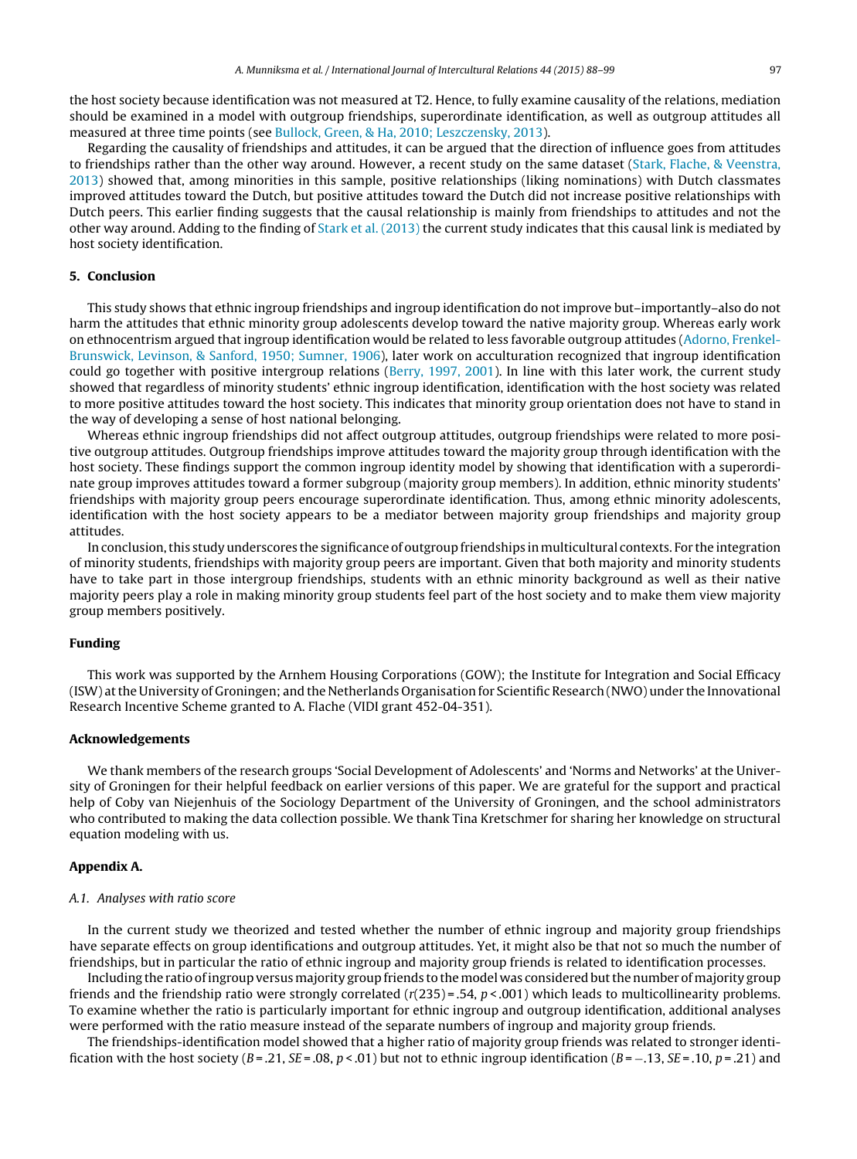<span id="page-9-0"></span>the host society because identification was not measured at T2. Hence, to fully examine causality of the relations, mediation should be examined in a model with outgroup friendships, superordinate identification, as well as outgroup attitudes all measured at three time points (see [Bullock,](#page-10-0) [Green,](#page-10-0) [&](#page-10-0) [Ha,](#page-10-0) [2010;](#page-10-0) [Leszczensky,](#page-10-0) [2013\).](#page-10-0)

Regarding the causality of friendships and attitudes, it can be argued that the direction of influence goes from attitudes to friendships rather than the other way around. However, a recent study on the same dataset [\(Stark,](#page-11-0) [Flache,](#page-11-0) [&](#page-11-0) [Veenstra,](#page-11-0) [2013\)](#page-11-0) showed that, among minorities in this sample, positive relationships (liking nominations) with Dutch classmates improved attitudes toward the Dutch, but positive attitudes toward the Dutch did not increase positive relationships with Dutch peers. This earlier finding suggests that the causal relationship is mainly from friendships to attitudes and not the other way around. Adding to the finding of [Stark](#page-11-0) et [al.](#page-11-0) [\(2013\)](#page-11-0) the current study indicates that this causal link is mediated by host society identification.

## **5. Conclusion**

This study shows that ethnic ingroup friendships and ingroup identification do not improve but–importantly–also do not harm the attitudes that ethnic minority group adolescents develop toward the native majority group. Whereas early work on ethnocentrism argued that ingroup identification would be related to less favorable outgroup attitudes ([Adorno,](#page-10-0) [Frenkel-](#page-10-0)Brunswick, [Levinson,](#page-10-0) [&](#page-10-0) [Sanford,](#page-10-0) [1950;](#page-10-0) [Sumner,](#page-10-0) [1906\),](#page-10-0) later work on acculturation recognized that ingroup identification could go together with positive intergroup relations ([Berry,](#page-10-0) [1997,](#page-10-0) [2001\).](#page-10-0) In line with this later work, the current study showed that regardless of minority students' ethnic ingroup identification, identification with the host society was related to more positive attitudes toward the host society. This indicates that minority group orientation does not have to stand in the way of developing a sense of host national belonging.

Whereas ethnic ingroup friendships did not affect outgroup attitudes, outgroup friendships were related to more positive outgroup attitudes. Outgroup friendships improve attitudes toward the majority group through identification with the host society. These findings support the common ingroup identity model by showing that identification with a superordinate group improves attitudes toward a former subgroup (majority group members). In addition, ethnic minority students' friendships with majority group peers encourage superordinate identification. Thus, among ethnic minority adolescents, identification with the host society appears to be a mediator between majority group friendships and majority group attitudes.

In conclusion, this study underscores the significance of outgroup friendships in multicultural contexts. For the integration of minority students, friendships with majority group peers are important. Given that both majority and minority students have to take part in those intergroup friendships, students with an ethnic minority background as well as their native majority peers play a role in making minority group students feel part of the host society and to make them view majority group members positively.

#### **Funding**

This work was supported by the Arnhem Housing Corporations (GOW); the Institute for Integration and Social Efficacy (ISW) atthe University of Groningen; and the Netherlands Organisation for Scientific Research (NWO) under the Innovational Research Incentive Scheme granted to A. Flache (VIDI grant 452-04-351).

#### **Acknowledgements**

We thank members of the research groups 'Social Development of Adolescents' and 'Norms and Networks' at the University of Groningen for their helpful feedback on earlier versions of this paper. We are grateful for the support and practical help of Coby van Niejenhuis of the Sociology Department of the University of Groningen, and the school administrators who contributed to making the data collection possible. We thank Tina Kretschmer for sharing her knowledge on structural equation modeling with us.

#### **Appendix A.**

#### A.1. Analyses with ratio score

In the current study we theorized and tested whether the number of ethnic ingroup and majority group friendships have separate effects on group identifications and outgroup attitudes. Yet, it might also be that not so much the number of friendships, but in particular the ratio of ethnic ingroup and majority group friends is related to identification processes.

Including the ratio ofingroup versusmajority group friends to themodel was considered butthe number ofmajority group friends and the friendship ratio were strongly correlated  $(r(235) = .54, p < .001)$  which leads to multicollinearity problems. To examine whether the ratio is particularly important for ethnic ingroup and outgroup identification, additional analyses were performed with the ratio measure instead of the separate numbers of ingroup and majority group friends.

The friendships-identification model showed that a higher ratio of majority group friends was related to stronger identification with the host society  $(B = .21, SE = .08, p < .01)$  but not to ethnic ingroup identification  $(B = -.13, SE = .10, p = .21)$  and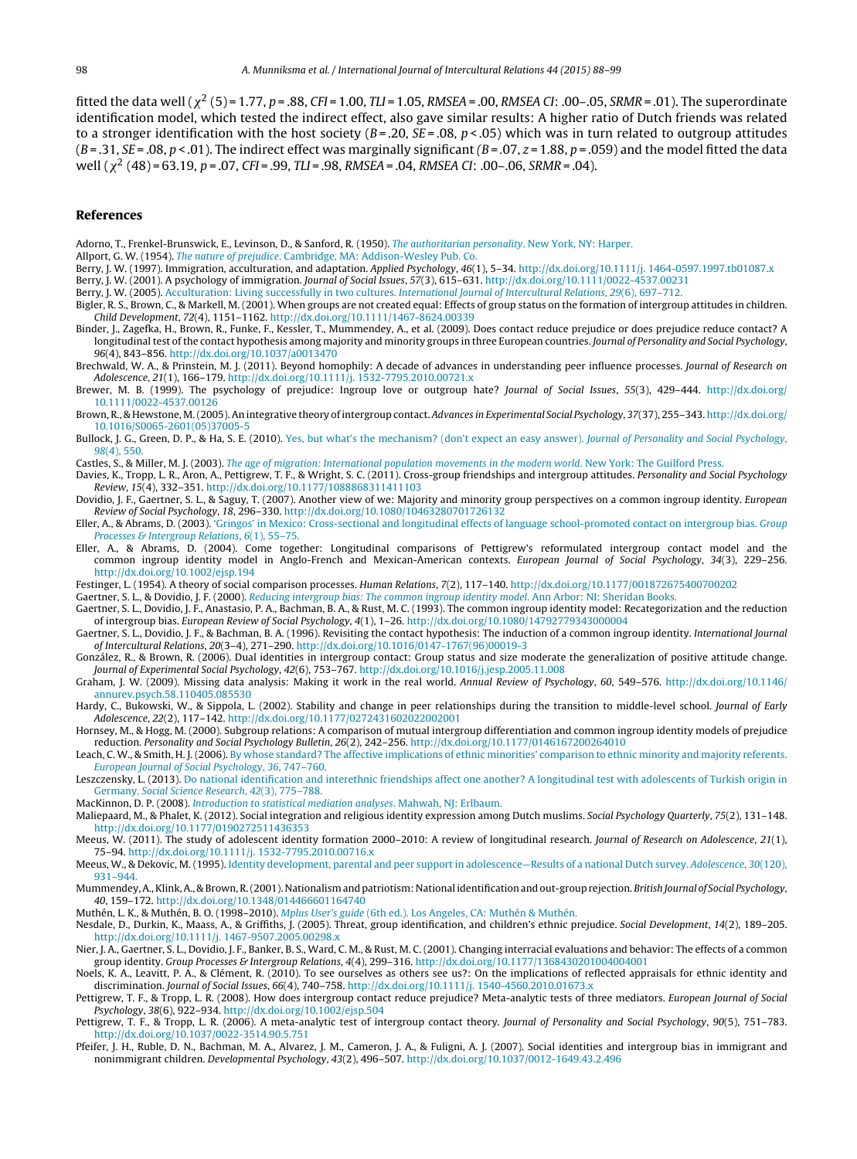<span id="page-10-0"></span>fitted the data well ( $\chi^2$  (5) = 1.77, p = .88, CFI = 1.00, TLI = 1.05, RMSEA = .00, RMSEA CI: .00–.05, SRMR = .01). The superordinate identification model, which tested the indirect effect, also gave similar results: A higher ratio of Dutch friends was related to a stronger identification with the host society  $(B = .20, SE = .08, p < .05)$  which was in turn related to outgroup attitudes  $(B = .31, SE = .08, p < .01)$ . The indirect effect was marginally significant  $(B = .07, z = 1.88, p = .059)$  and the model fitted the data well  $(\chi^2 (48)$  = 63.19, p = .07, CFI = .99, TLI = .98, RMSEA = .04, RMSEA CI: .00–.06, SRMR = .04).

#### **References**

- Adorno, T., Frenkel-Brunswick, E., Levinson, D., & Sanford, R. (1950). [The](http://refhub.elsevier.com/S0147-1767(14)00146-1/sbref0005) [authoritarian](http://refhub.elsevier.com/S0147-1767(14)00146-1/sbref0005) [personality](http://refhub.elsevier.com/S0147-1767(14)00146-1/sbref0005). [New](http://refhub.elsevier.com/S0147-1767(14)00146-1/sbref0005) [York,](http://refhub.elsevier.com/S0147-1767(14)00146-1/sbref0005) [NY:](http://refhub.elsevier.com/S0147-1767(14)00146-1/sbref0005) [Harper.](http://refhub.elsevier.com/S0147-1767(14)00146-1/sbref0005)
- Allport, G. W. (1954). [The](http://refhub.elsevier.com/S0147-1767(14)00146-1/sbref0010) [nature](http://refhub.elsevier.com/S0147-1767(14)00146-1/sbref0010) [of](http://refhub.elsevier.com/S0147-1767(14)00146-1/sbref0010) [prejudice](http://refhub.elsevier.com/S0147-1767(14)00146-1/sbref0010)[.](http://refhub.elsevier.com/S0147-1767(14)00146-1/sbref0010) [Cambridge,](http://refhub.elsevier.com/S0147-1767(14)00146-1/sbref0010) [MA:](http://refhub.elsevier.com/S0147-1767(14)00146-1/sbref0010) [Addison-Wesley](http://refhub.elsevier.com/S0147-1767(14)00146-1/sbref0010) [Pub.](http://refhub.elsevier.com/S0147-1767(14)00146-1/sbref0010) [Co.](http://refhub.elsevier.com/S0147-1767(14)00146-1/sbref0010)
- Berry, J. W. (1997). Immigration, acculturation, and adaptation. Applied Psychology, 46(1), 5-34. [http://dx.doi.org/10.1111/j.](dx.doi.org/10.1111/j. 1464-0597.1997.tb01087.x) 1464-0597.1997.tb01087.x
- Berry, J. W. (2001). A psychology of immigration. Journal of Social Issues, 57(3), 615–631. [http://dx.doi.org/10.1111/0022-4537.00231](dx.doi.org/10.1111/0022-4537.00231)
- Berry, J. W. (2005). [Acculturation:](http://refhub.elsevier.com/S0147-1767(14)00146-1/sbref0025) [Living](http://refhub.elsevier.com/S0147-1767(14)00146-1/sbref0025) [successfully](http://refhub.elsevier.com/S0147-1767(14)00146-1/sbref0025) [in](http://refhub.elsevier.com/S0147-1767(14)00146-1/sbref0025) [two](http://refhub.elsevier.com/S0147-1767(14)00146-1/sbref0025) [cultures.](http://refhub.elsevier.com/S0147-1767(14)00146-1/sbref0025) [International](http://refhub.elsevier.com/S0147-1767(14)00146-1/sbref0025) [Journal](http://refhub.elsevier.com/S0147-1767(14)00146-1/sbref0025) [of](http://refhub.elsevier.com/S0147-1767(14)00146-1/sbref0025) [Intercultural](http://refhub.elsevier.com/S0147-1767(14)00146-1/sbref0025) [Relations](http://refhub.elsevier.com/S0147-1767(14)00146-1/sbref0025)[,](http://refhub.elsevier.com/S0147-1767(14)00146-1/sbref0025) [29](http://refhub.elsevier.com/S0147-1767(14)00146-1/sbref0025)[\(6\),](http://refhub.elsevier.com/S0147-1767(14)00146-1/sbref0025) 697-712.
- Bigler, R. S., Brown, C., & Markell, M. (2001). When groups are not created equal: Effects of group status on the formation of intergroup attitudes in children. Child Development, 72(4), 1151–1162. [http://dx.doi.org/10.1111/1467-8624.00339](dx.doi.org/10.1111/1467-8624.00339)
- Binder, J., Zagefka, H., Brown, R., Funke, F., Kessler, T., Mummendey, A., et al. (2009). Does contact reduce prejudice or does prejudice reduce contact? A longitudinal test of the contact hypothesis among majority and minority groups in three European countries. Journal of Personality and Social Psychology, 96(4), 843–856. [http://dx.doi.org/10.1037/a0013470](dx.doi.org/10.1037/a0013470)
- Brechwald, W. A., & Prinstein, M. J. (2011). Beyond homophily: A decade of advances in understanding peer influence processes. Journal of Research on Adolescence, 21(1), 166–179. [http://dx.doi.org/10.1111/j.](dx.doi.org/10.1111/j. 1532-7795.2010.00721.x) 1532-7795.2010.00721.x
- Brewer, M. B. (1999). The psychology of prejudice: Ingroup love or outgroup hate? Journal of Social Issues, 55(3), 429-444. [http://dx.doi.org/](dx.doi.org/10.1111/0022-4537.00126) [10.1111/0022-4537.00126](dx.doi.org/10.1111/0022-4537.00126)
- Brown, R., & Hewstone, M.(2005). An integrative theory of intergroup contact. Advances in Experimental Social Psychology, 37(37), 255–343. [http://dx.doi.org/](dx.doi.org/10.1016/S0065-2601(05)37005-5) [10.1016/S0065-2601\(05\)37005-5](dx.doi.org/10.1016/S0065-2601(05)37005-5)
- Bullock, J. G., Green, D. P., & Ha, S. E. (2010). [Yes,](http://refhub.elsevier.com/S0147-1767(14)00146-1/sbref0055) [but](http://refhub.elsevier.com/S0147-1767(14)00146-1/sbref0055) [what's](http://refhub.elsevier.com/S0147-1767(14)00146-1/sbref0055) [the](http://refhub.elsevier.com/S0147-1767(14)00146-1/sbref0055) [mechanism?](http://refhub.elsevier.com/S0147-1767(14)00146-1/sbref0055) [\(don't](http://refhub.elsevier.com/S0147-1767(14)00146-1/sbref0055) [expect](http://refhub.elsevier.com/S0147-1767(14)00146-1/sbref0055) [an](http://refhub.elsevier.com/S0147-1767(14)00146-1/sbref0055) [easy](http://refhub.elsevier.com/S0147-1767(14)00146-1/sbref0055) [answer\).](http://refhub.elsevier.com/S0147-1767(14)00146-1/sbref0055) [Journal](http://refhub.elsevier.com/S0147-1767(14)00146-1/sbref0055) [of](http://refhub.elsevier.com/S0147-1767(14)00146-1/sbref0055) [Personality](http://refhub.elsevier.com/S0147-1767(14)00146-1/sbref0055) [and](http://refhub.elsevier.com/S0147-1767(14)00146-1/sbref0055) [Social](http://refhub.elsevier.com/S0147-1767(14)00146-1/sbref0055) [Psychology](http://refhub.elsevier.com/S0147-1767(14)00146-1/sbref0055)[,](http://refhub.elsevier.com/S0147-1767(14)00146-1/sbref0055) [98](http://refhub.elsevier.com/S0147-1767(14)00146-1/sbref0055)[\(4\),](http://refhub.elsevier.com/S0147-1767(14)00146-1/sbref0055) [550.](http://refhub.elsevier.com/S0147-1767(14)00146-1/sbref0055)
- Castles, S., & Miller, M. J. (2003). [The](http://refhub.elsevier.com/S0147-1767(14)00146-1/sbref0280) [age](http://refhub.elsevier.com/S0147-1767(14)00146-1/sbref0280) [of](http://refhub.elsevier.com/S0147-1767(14)00146-1/sbref0280) [migration:](http://refhub.elsevier.com/S0147-1767(14)00146-1/sbref0280) [International](http://refhub.elsevier.com/S0147-1767(14)00146-1/sbref0280) [population](http://refhub.elsevier.com/S0147-1767(14)00146-1/sbref0280) [movements](http://refhub.elsevier.com/S0147-1767(14)00146-1/sbref0280) [in](http://refhub.elsevier.com/S0147-1767(14)00146-1/sbref0280) [the](http://refhub.elsevier.com/S0147-1767(14)00146-1/sbref0280) [modern](http://refhub.elsevier.com/S0147-1767(14)00146-1/sbref0280) [world](http://refhub.elsevier.com/S0147-1767(14)00146-1/sbref0280)[.](http://refhub.elsevier.com/S0147-1767(14)00146-1/sbref0280) [New](http://refhub.elsevier.com/S0147-1767(14)00146-1/sbref0280) [York:](http://refhub.elsevier.com/S0147-1767(14)00146-1/sbref0280) [The](http://refhub.elsevier.com/S0147-1767(14)00146-1/sbref0280) [Guilford](http://refhub.elsevier.com/S0147-1767(14)00146-1/sbref0280) [Press.](http://refhub.elsevier.com/S0147-1767(14)00146-1/sbref0280)
- Davies, K., Tropp, L. R., Aron, A., Pettigrew, T. F., & Wright, S. C. (2011). Cross-group friendships and intergroup attitudes. Personality and Social Psychology Review, 15(4), 332–351. [http://dx.doi.org/10.1177/1088868311411103](dx.doi.org/10.1177/1088868311411103)
- Dovidio, J. F., Gaertner, S. L., & Saguy, T. (2007). Another view of we: Majority and minority group perspectives on a common ingroup identity. European Review of Social Psychology, 18, 296–330. [http://dx.doi.org/10.1080/10463280701726132](dx.doi.org/10.1080/10463280701726132)
- Eller, A., & Abrams, D. (2003). ['Gringos'](http://refhub.elsevier.com/S0147-1767(14)00146-1/sbref0070) [in](http://refhub.elsevier.com/S0147-1767(14)00146-1/sbref0070) [Mexico:](http://refhub.elsevier.com/S0147-1767(14)00146-1/sbref0070) [Cross-sectional](http://refhub.elsevier.com/S0147-1767(14)00146-1/sbref0070) [and](http://refhub.elsevier.com/S0147-1767(14)00146-1/sbref0070) [longitudinal](http://refhub.elsevier.com/S0147-1767(14)00146-1/sbref0070) [effects](http://refhub.elsevier.com/S0147-1767(14)00146-1/sbref0070) [of](http://refhub.elsevier.com/S0147-1767(14)00146-1/sbref0070) [language](http://refhub.elsevier.com/S0147-1767(14)00146-1/sbref0070) [school-promoted](http://refhub.elsevier.com/S0147-1767(14)00146-1/sbref0070) [contact](http://refhub.elsevier.com/S0147-1767(14)00146-1/sbref0070) [on](http://refhub.elsevier.com/S0147-1767(14)00146-1/sbref0070) [intergroup](http://refhub.elsevier.com/S0147-1767(14)00146-1/sbref0070) [bias.](http://refhub.elsevier.com/S0147-1767(14)00146-1/sbref0070) [Group](http://refhub.elsevier.com/S0147-1767(14)00146-1/sbref0070)
- [Processes](http://refhub.elsevier.com/S0147-1767(14)00146-1/sbref0070) [&](http://refhub.elsevier.com/S0147-1767(14)00146-1/sbref0070) [Intergroup](http://refhub.elsevier.com/S0147-1767(14)00146-1/sbref0070) [Relations](http://refhub.elsevier.com/S0147-1767(14)00146-1/sbref0070)[,](http://refhub.elsevier.com/S0147-1767(14)00146-1/sbref0070) [6](http://refhub.elsevier.com/S0147-1767(14)00146-1/sbref0070)[\(1\),](http://refhub.elsevier.com/S0147-1767(14)00146-1/sbref0070) [55](http://refhub.elsevier.com/S0147-1767(14)00146-1/sbref0070)–[75.](http://refhub.elsevier.com/S0147-1767(14)00146-1/sbref0070)<br>Eller, A., & Abrams, D. (2004). Come together: Longitudinal comparisons of Pettigrew's reformulated intergroup contact model and the common ingroup identity model in Anglo-French and Mexican-American contexts. European Journal of Social Psychology, 34(3), 229–256. [http://dx.doi.org/10.1002/ejsp.194](dx.doi.org/10.1002/ejsp.194)
- Festinger, L. (1954). A theory of social comparison processes. Human Relations, 7(2), 117–140. [http://dx.doi.org/10.1177/001872675400700202](dx.doi.org/10.1177/001872675400700202)
- Gaertner, S. L., & Dovidio, J. F. (2000). [Reducing](http://refhub.elsevier.com/S0147-1767(14)00146-1/sbref0085) [intergroup](http://refhub.elsevier.com/S0147-1767(14)00146-1/sbref0085) [bias:](http://refhub.elsevier.com/S0147-1767(14)00146-1/sbref0085) [The](http://refhub.elsevier.com/S0147-1767(14)00146-1/sbref0085) [common](http://refhub.elsevier.com/S0147-1767(14)00146-1/sbref0085) [ingroup](http://refhub.elsevier.com/S0147-1767(14)00146-1/sbref0085) [identity](http://refhub.elsevier.com/S0147-1767(14)00146-1/sbref0085) [model](http://refhub.elsevier.com/S0147-1767(14)00146-1/sbref0085)[.](http://refhub.elsevier.com/S0147-1767(14)00146-1/sbref0085) [Ann](http://refhub.elsevier.com/S0147-1767(14)00146-1/sbref0085) [Arbor:](http://refhub.elsevier.com/S0147-1767(14)00146-1/sbref0085) [NI:](http://refhub.elsevier.com/S0147-1767(14)00146-1/sbref0085) [Sheridan](http://refhub.elsevier.com/S0147-1767(14)00146-1/sbref0085) [Books.](http://refhub.elsevier.com/S0147-1767(14)00146-1/sbref0085)
- Gaertner, S. L., Dovidio, J. F., Anastasio, P. A., Bachman, B. A., & Rust, M. C. (1993). The common ingroup identity model: Recategorization and the reduction of intergroup bias. European Review of Social Psychology, 4(1), 1–26. [http://dx.doi.org/10.1080/14792779343000004](dx.doi.org/10.1080/14792779343000004)
- Gaertner, S. L., Dovidio, J. F., & Bachman, B. A. (1996). Revisiting the contact hypothesis: The induction of a common ingroup identity. International Journal of Intercultural Relations, 20(3–4), 271–290. [http://dx.doi.org/10.1016/0147-1767\(96\)00019-3](dx.doi.org/10.1016/0147-1767(96)00019-3)
- González, R., & Brown, R. (2006). Dual identities in intergroup contact: Group status and size moderate the generalization of positive attitude change. Journal of Experimental Social Psychology, 42(6), 753–767. [http://dx.doi.org/10.1016/j.jesp.2005.11.008](dx.doi.org/10.1016/j.jesp.2005.11.008)
- Graham, J. W. (2009). Missing data analysis: Making it work in the real world. Annual Review of Psychology, 60, 549-576. [http://dx.doi.org/10.1146/](dx.doi.org/10.1146/annurev.psych.58.110405.085530) [annurev.psych.58.110405.085530](dx.doi.org/10.1146/annurev.psych.58.110405.085530)
- Hardy, C., Bukowski, W., & Sippola, L. (2002). Stability and change in peer relationships during the transition to middle-level school. Journal of Early Adolescence, 22(2), 117–142. [http://dx.doi.org/10.1177/0272431602022002001](dx.doi.org/10.1177/0272431602022002001)
- Hornsey, M., & Hogg, M. (2000). Subgroup relations: A comparison of mutual intergroup differentiation and common ingroup identity models of prejudice reduction. Personality and Social Psychology Bulletin, 26(2), 242–256. [http://dx.doi.org/10.1177/0146167200264010](dx.doi.org/10.1177/0146167200264010)
- Leach, C. W., & Smith, H. J. (2006). [By](http://refhub.elsevier.com/S0147-1767(14)00146-1/sbref0120) [whose](http://refhub.elsevier.com/S0147-1767(14)00146-1/sbref0120) [standard?](http://refhub.elsevier.com/S0147-1767(14)00146-1/sbref0120) [The](http://refhub.elsevier.com/S0147-1767(14)00146-1/sbref0120) [affective](http://refhub.elsevier.com/S0147-1767(14)00146-1/sbref0120) [implications](http://refhub.elsevier.com/S0147-1767(14)00146-1/sbref0120) [of](http://refhub.elsevier.com/S0147-1767(14)00146-1/sbref0120) [ethnic](http://refhub.elsevier.com/S0147-1767(14)00146-1/sbref0120) [minorities'](http://refhub.elsevier.com/S0147-1767(14)00146-1/sbref0120) [comparison](http://refhub.elsevier.com/S0147-1767(14)00146-1/sbref0120) [to](http://refhub.elsevier.com/S0147-1767(14)00146-1/sbref0120) [ethnic](http://refhub.elsevier.com/S0147-1767(14)00146-1/sbref0120) [minority](http://refhub.elsevier.com/S0147-1767(14)00146-1/sbref0120) [and](http://refhub.elsevier.com/S0147-1767(14)00146-1/sbref0120) [majority](http://refhub.elsevier.com/S0147-1767(14)00146-1/sbref0120) [referents.](http://refhub.elsevier.com/S0147-1767(14)00146-1/sbref0120) [European](http://refhub.elsevier.com/S0147-1767(14)00146-1/sbref0120) [Journal](http://refhub.elsevier.com/S0147-1767(14)00146-1/sbref0120) [of](http://refhub.elsevier.com/S0147-1767(14)00146-1/sbref0120) [Social](http://refhub.elsevier.com/S0147-1767(14)00146-1/sbref0120) [Psychology](http://refhub.elsevier.com/S0147-1767(14)00146-1/sbref0120)[,](http://refhub.elsevier.com/S0147-1767(14)00146-1/sbref0120) [36](http://refhub.elsevier.com/S0147-1767(14)00146-1/sbref0120)[,](http://refhub.elsevier.com/S0147-1767(14)00146-1/sbref0120) [747](http://refhub.elsevier.com/S0147-1767(14)00146-1/sbref0120)–[760.](http://refhub.elsevier.com/S0147-1767(14)00146-1/sbref0120)
- Leszczensky, L. (2013). [Do](http://refhub.elsevier.com/S0147-1767(14)00146-1/sbref0125) [national](http://refhub.elsevier.com/S0147-1767(14)00146-1/sbref0125) [identification](http://refhub.elsevier.com/S0147-1767(14)00146-1/sbref0125) [and](http://refhub.elsevier.com/S0147-1767(14)00146-1/sbref0125) [interethnic](http://refhub.elsevier.com/S0147-1767(14)00146-1/sbref0125) [friendships](http://refhub.elsevier.com/S0147-1767(14)00146-1/sbref0125) [affect](http://refhub.elsevier.com/S0147-1767(14)00146-1/sbref0125) [one](http://refhub.elsevier.com/S0147-1767(14)00146-1/sbref0125) [another?](http://refhub.elsevier.com/S0147-1767(14)00146-1/sbref0125) [A](http://refhub.elsevier.com/S0147-1767(14)00146-1/sbref0125) [longitudinal](http://refhub.elsevier.com/S0147-1767(14)00146-1/sbref0125) [test](http://refhub.elsevier.com/S0147-1767(14)00146-1/sbref0125) [with](http://refhub.elsevier.com/S0147-1767(14)00146-1/sbref0125) [adolescents](http://refhub.elsevier.com/S0147-1767(14)00146-1/sbref0125) [of](http://refhub.elsevier.com/S0147-1767(14)00146-1/sbref0125) [Turkish](http://refhub.elsevier.com/S0147-1767(14)00146-1/sbref0125) [origin](http://refhub.elsevier.com/S0147-1767(14)00146-1/sbref0125) [in](http://refhub.elsevier.com/S0147-1767(14)00146-1/sbref0125) [Germany.](http://refhub.elsevier.com/S0147-1767(14)00146-1/sbref0125) [Social](http://refhub.elsevier.com/S0147-1767(14)00146-1/sbref0125) [Science](http://refhub.elsevier.com/S0147-1767(14)00146-1/sbref0125) [Research](http://refhub.elsevier.com/S0147-1767(14)00146-1/sbref0125)[,](http://refhub.elsevier.com/S0147-1767(14)00146-1/sbref0125) [42](http://refhub.elsevier.com/S0147-1767(14)00146-1/sbref0125)[\(3\),](http://refhub.elsevier.com/S0147-1767(14)00146-1/sbref0125) [775](http://refhub.elsevier.com/S0147-1767(14)00146-1/sbref0125)–[788.](http://refhub.elsevier.com/S0147-1767(14)00146-1/sbref0125)
- MacKinnon, D. P. (2008). [Introduction](http://refhub.elsevier.com/S0147-1767(14)00146-1/sbref0130) [to](http://refhub.elsevier.com/S0147-1767(14)00146-1/sbref0130) [statistical](http://refhub.elsevier.com/S0147-1767(14)00146-1/sbref0130) [mediation](http://refhub.elsevier.com/S0147-1767(14)00146-1/sbref0130) [analyses](http://refhub.elsevier.com/S0147-1767(14)00146-1/sbref0130). [Mahwah,](http://refhub.elsevier.com/S0147-1767(14)00146-1/sbref0130) [NJ:](http://refhub.elsevier.com/S0147-1767(14)00146-1/sbref0130) [Erlbaum.](http://refhub.elsevier.com/S0147-1767(14)00146-1/sbref0130)
- Maliepaard, M., & Phalet, K. (2012). Social integration and religious identity expression among Dutch muslims. Social Psychology Quarterly, 75(2), 131–148. [http://dx.doi.org/10.1177/0190272511436353](dx.doi.org/10.1177/0190272511436353)
- Meeus, W. (2011). The study of adolescent identity formation 2000–2010: A review of longitudinal research. Journal of Research on Adolescence, 21(1), 75–94. [http://dx.doi.org/10.1111/j.](dx.doi.org/10.1111/j. 1532-7795.2010.00716.x) 1532-7795.2010.00716.x
- Meeus, W., & Dekovic, M. (1995). [Identity](http://refhub.elsevier.com/S0147-1767(14)00146-1/sbref0145) [development,](http://refhub.elsevier.com/S0147-1767(14)00146-1/sbref0145) [parental](http://refhub.elsevier.com/S0147-1767(14)00146-1/sbref0145) [and](http://refhub.elsevier.com/S0147-1767(14)00146-1/sbref0145) [peer](http://refhub.elsevier.com/S0147-1767(14)00146-1/sbref0145) [support](http://refhub.elsevier.com/S0147-1767(14)00146-1/sbref0145) [in](http://refhub.elsevier.com/S0147-1767(14)00146-1/sbref0145) [adolescence—Results](http://refhub.elsevier.com/S0147-1767(14)00146-1/sbref0145) [of](http://refhub.elsevier.com/S0147-1767(14)00146-1/sbref0145) [a](http://refhub.elsevier.com/S0147-1767(14)00146-1/sbref0145) [national](http://refhub.elsevier.com/S0147-1767(14)00146-1/sbref0145) [Dutch](http://refhub.elsevier.com/S0147-1767(14)00146-1/sbref0145) [survey.](http://refhub.elsevier.com/S0147-1767(14)00146-1/sbref0145) [Adolescence](http://refhub.elsevier.com/S0147-1767(14)00146-1/sbref0145)[,](http://refhub.elsevier.com/S0147-1767(14)00146-1/sbref0145) [30](http://refhub.elsevier.com/S0147-1767(14)00146-1/sbref0145)[\(120\),](http://refhub.elsevier.com/S0147-1767(14)00146-1/sbref0145) [931](http://refhub.elsevier.com/S0147-1767(14)00146-1/sbref0145)–[944.](http://refhub.elsevier.com/S0147-1767(14)00146-1/sbref0145)
- Mummendey, A., Klink, A., & Brown, R. (2001). Nationalism and patriotism: National identification and out-group rejection. British Journal of Social Psychology, 40, 159–172. [http://dx.doi.org/10.1348/014466601164740](dx.doi.org/10.1348/014466601164740)
- Muthén, L. K., & Muthén, B. O. (1998–2010). [Mplus](http://refhub.elsevier.com/S0147-1767(14)00146-1/sbref0155) [User's](http://refhub.elsevier.com/S0147-1767(14)00146-1/sbref0155) [guide](http://refhub.elsevier.com/S0147-1767(14)00146-1/sbref0155) [\(6th](http://refhub.elsevier.com/S0147-1767(14)00146-1/sbref0155) [ed.\).](http://refhub.elsevier.com/S0147-1767(14)00146-1/sbref0155) [Los](http://refhub.elsevier.com/S0147-1767(14)00146-1/sbref0155) [Angeles,](http://refhub.elsevier.com/S0147-1767(14)00146-1/sbref0155) [CA:](http://refhub.elsevier.com/S0147-1767(14)00146-1/sbref0155) [Muthén](http://refhub.elsevier.com/S0147-1767(14)00146-1/sbref0155) [&](http://refhub.elsevier.com/S0147-1767(14)00146-1/sbref0155) [Muthén.](http://refhub.elsevier.com/S0147-1767(14)00146-1/sbref0155)
- Nesdale, D., Durkin, K., Maass, A., & Griffiths, J. (2005). Threat, group identification, and children's ethnic prejudice. Social Development, 14(2), 189–205. [http://dx.doi.org/10.1111/j.](dx.doi.org/10.1111/j. 1467-9507.2005.00298.x) 1467-9507.2005.00298.x
- Nier, J. A., Gaertner, S. L., Dovidio, J. F., Banker, B. S., Ward, C. M., & Rust, M. C. (2001). Changing interracial evaluations and behavior: The effects of a common group identity. Group Processes & Intergroup Relations, 4(4), 299–316. [http://dx.doi.org/10.1177/1368430201004004001](dx.doi.org/10.1177/1368430201004004001)
- Noels, K. A., Leavitt, P. A., & Clément, R. (2010). To see ourselves as others see us?: On the implications of reflected appraisals for ethnic identity and discrimination. Journal of Social Issues, 66(4), 740–758. [http://dx.doi.org/10.1111/j.](dx.doi.org/10.1111/j. 1540-4560.2010.01673.x) 1540-4560.2010.01673.x
- Pettigrew, T. F., & Tropp, L. R. (2008). How does intergroup contact reduce prejudice? Meta-analytic tests of three mediators. European Journal of Social Psychology, 38(6), 922–934. [http://dx.doi.org/10.1002/ejsp.504](dx.doi.org/10.1002/ejsp.504)
- Pettigrew, T. F., & Tropp, L. R. (2006). A meta-analytic test of intergroup contact theory. Journal of Personality and Social Psychology, 90(5), 751–783. [http://dx.doi.org/10.1037/0022-3514.90.5.751](dx.doi.org/10.1037/0022-3514.90.5.751)
- Pfeifer, J. H., Ruble, D. N., Bachman, M. A., Alvarez, J. M., Cameron, J. A., & Fuligni, A. J. (2007). Social identities and intergroup bias in immigrant and nonimmigrant children. Developmental Psychology, 43(2), 496–507. [http://dx.doi.org/10.1037/0012-1649.43.2.496](dx.doi.org/10.1037/0012-1649.43.2.496)